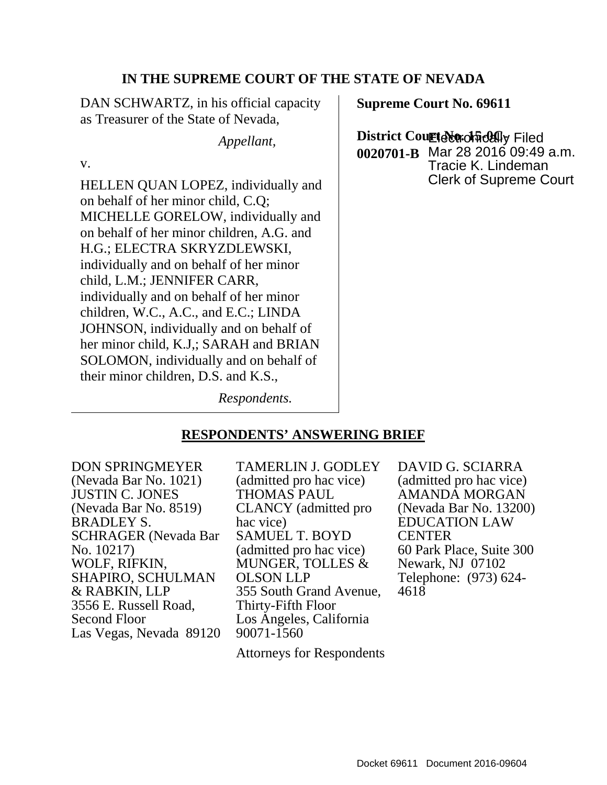#### **IN THE SUPREME COURT OF THE STATE OF NEVADA**

DAN SCHWARTZ, in his official capacity as Treasurer of the State of Nevada,

*Appellant,*

v.

HELLEN QUAN LOPEZ, individually and on behalf of her minor child, C.Q; MICHELLE GORELOW, individually and on behalf of her minor children, A.G. and H.G.; ELECTRA SKRYZDLEWSKI, individually and on behalf of her minor child, L.M.; JENNIFER CARR, individually and on behalf of her minor children, W.C., A.C., and E.C.; LINDA JOHNSON, individually and on behalf of her minor child, K.J,; SARAH and BRIAN SOLOMON, individually and on behalf of their minor children, D.S. and K.S.,

**Supreme Court No. 69611**

**District CourteNorchfidAlly Filed 0020701-B** Mar 28 2016 09:49 a.m. Tracie K. Lindeman Clerk of Supreme Court

*Respondents.*

### **RESPONDENTS' ANSWERING BRIEF**

<span id="page-0-0"></span>DON SPRINGMEYER (Nevada Bar No. 1021) JUSTIN C. JONES (Nevada Bar No. 8519) BRADLEY S. SCHRAGER (Nevada Bar No. 10217) WOLF, RIFKIN, SHAPIRO, SCHULMAN & RABKIN, LLP 3556 E. Russell Road, Second Floor Las Vegas, Nevada 89120 TAMERLIN J. GODLEY (admitted pro hac vice) THOMAS PAUL CLANCY (admitted pro hac vice) SAMUEL T. BOYD (admitted pro hac vice) MUNGER, TOLLES & OLSON LLP 355 South Grand Avenue, Thirty-Fifth Floor Los Angeles, California 90071-1560

Attorneys for Respondents

DAVID G. SCIARRA (admitted pro hac vice) AMANDA MORGAN (Nevada Bar No. 13200) EDUCATION LAW CENTER 60 Park Place, Suite 300 Newark, NJ 07102 Telephone: (973) 624- <sup>4618</sup>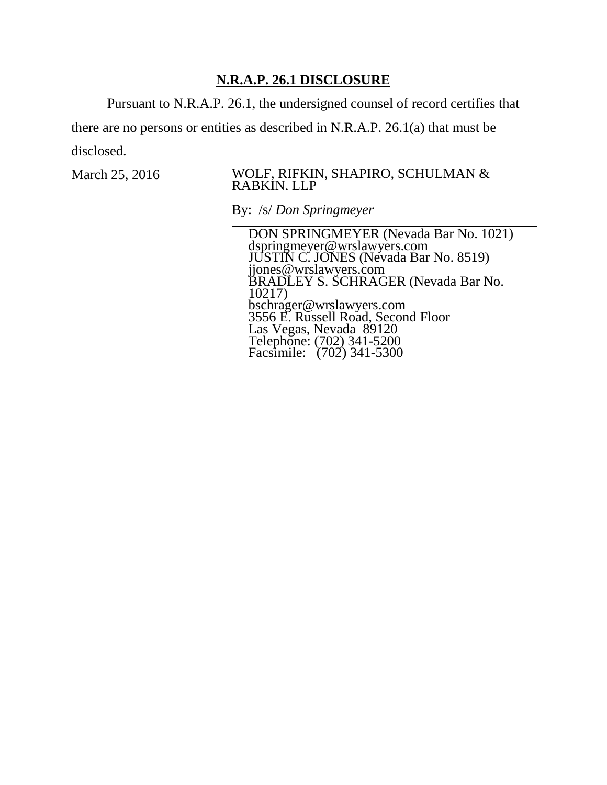### **N.R.A.P. 26.1 DISCLOSURE**

Pursuant to N.R.A.P. 26.1, the undersigned counsel of record certifies that

there are no persons or entities as described in N.R.A.P. 26.1(a) that must be disclosed.

#### March 25, 2016 WOLF, RIFKIN, SHAPIRO, SCHULMAN & RABKIN, LLP

By: /s/ *Don Springmeyer*

DON SPRINGMEYER (Nevada Bar No. 1021) dspringmeyer@wrslawyers.com JUSTIN C. JONES (Nevada Bar No. 8519) jjones@wrslawyers.com BRADLEY S. SCHRAGER (Nevada Bar No. 10217) bschrager@wrslawyers.com 3556 E. Russell Road, Second Floor Las Vegas, Nevada 89120 Telephone: (702) 341-5200 Facsimile: (702) 341-5300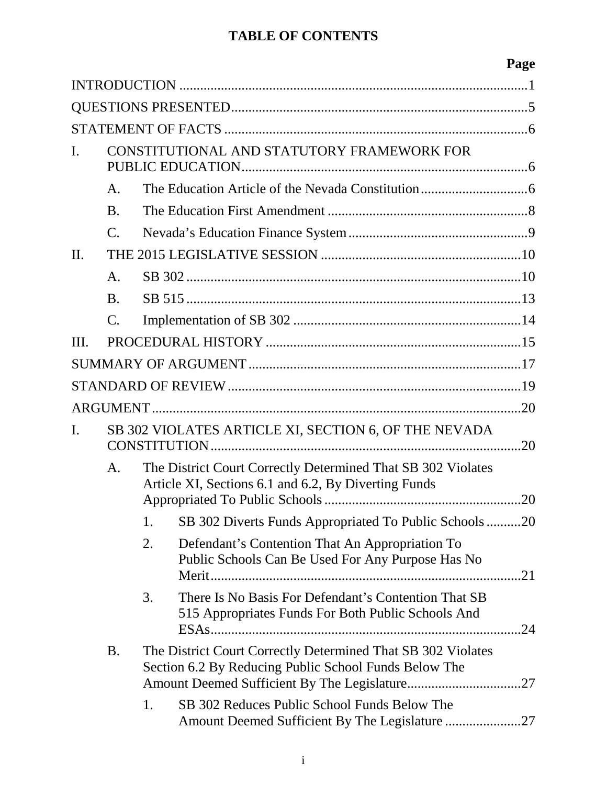# **TABLE OF CONTENTS**

|      |                                                                 |                                                                                                                       |                                                                                                            | Page |  |
|------|-----------------------------------------------------------------|-----------------------------------------------------------------------------------------------------------------------|------------------------------------------------------------------------------------------------------------|------|--|
|      |                                                                 |                                                                                                                       |                                                                                                            |      |  |
|      |                                                                 |                                                                                                                       |                                                                                                            |      |  |
|      |                                                                 |                                                                                                                       |                                                                                                            |      |  |
| I.   | CONSTITUTIONAL AND STATUTORY FRAMEWORK FOR<br>PUBLIC EDUCATION. |                                                                                                                       |                                                                                                            |      |  |
|      | A.                                                              |                                                                                                                       |                                                                                                            |      |  |
|      | <b>B.</b>                                                       |                                                                                                                       |                                                                                                            |      |  |
|      | $\mathbf{C}$ .                                                  |                                                                                                                       |                                                                                                            |      |  |
| II.  |                                                                 |                                                                                                                       |                                                                                                            |      |  |
|      | A.                                                              |                                                                                                                       |                                                                                                            |      |  |
|      | <b>B.</b>                                                       |                                                                                                                       |                                                                                                            |      |  |
|      | $\mathsf{C}.$                                                   |                                                                                                                       |                                                                                                            |      |  |
| III. |                                                                 |                                                                                                                       |                                                                                                            |      |  |
|      |                                                                 |                                                                                                                       |                                                                                                            |      |  |
|      |                                                                 |                                                                                                                       |                                                                                                            |      |  |
|      |                                                                 |                                                                                                                       |                                                                                                            | .20  |  |
| I.   | SB 302 VIOLATES ARTICLE XI, SECTION 6, OF THE NEVADA            |                                                                                                                       |                                                                                                            |      |  |
|      | A.                                                              | The District Court Correctly Determined That SB 302 Violates<br>Article XI, Sections 6.1 and 6.2, By Diverting Funds  |                                                                                                            |      |  |
|      |                                                                 | 1.                                                                                                                    | SB 302 Diverts Funds Appropriated To Public Schools20                                                      |      |  |
|      |                                                                 | 2.                                                                                                                    | Defendant's Contention That An Appropriation To<br>Public Schools Can Be Used For Any Purpose Has No       | .21  |  |
|      |                                                                 | 3.                                                                                                                    | There Is No Basis For Defendant's Contention That SB<br>515 Appropriates Funds For Both Public Schools And |      |  |
|      | <b>B.</b>                                                       | The District Court Correctly Determined That SB 302 Violates<br>Section 6.2 By Reducing Public School Funds Below The |                                                                                                            |      |  |
|      |                                                                 | 1.                                                                                                                    | SB 302 Reduces Public School Funds Below The                                                               |      |  |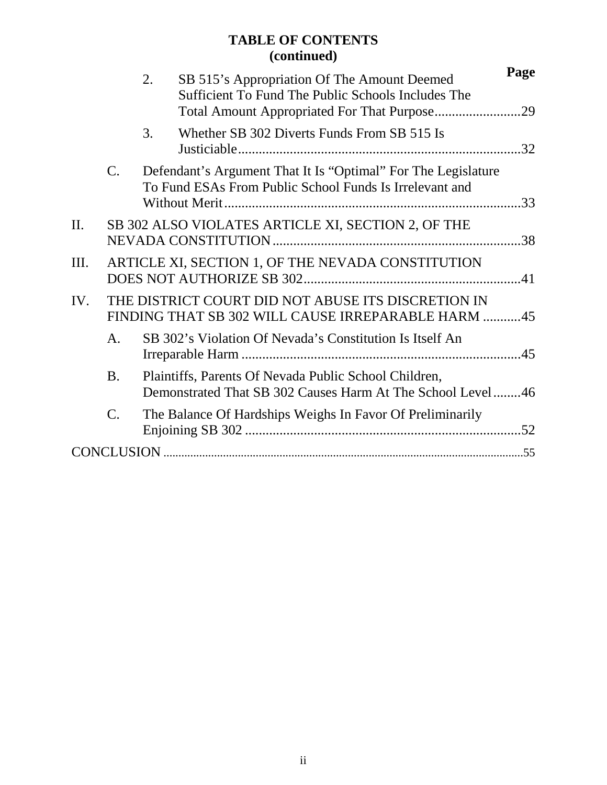## **TABLE OF CONTENTS (continued)**

|         |                 | 2. | SB 515's Appropriation Of The Amount Deemed                                                                              | Page |
|---------|-----------------|----|--------------------------------------------------------------------------------------------------------------------------|------|
|         |                 |    | Sufficient To Fund The Public Schools Includes The                                                                       |      |
|         |                 | 3. | Whether SB 302 Diverts Funds From SB 515 Is                                                                              |      |
|         | $\mathcal{C}$ . |    | Defendant's Argument That It Is "Optimal" For The Legislature<br>To Fund ESAs From Public School Funds Is Irrelevant and |      |
| $\Pi$ . |                 |    | SB 302 ALSO VIOLATES ARTICLE XI, SECTION 2, OF THE                                                                       |      |
| Ш.      |                 |    | ARTICLE XI, SECTION 1, OF THE NEVADA CONSTITUTION                                                                        |      |
| IV.     |                 |    | THE DISTRICT COURT DID NOT ABUSE ITS DISCRETION IN<br>FINDING THAT SB 302 WILL CAUSE IRREPARABLE HARM 45                 |      |
|         | A <sub>1</sub>  |    | SB 302's Violation Of Nevada's Constitution Is Itself An                                                                 |      |
|         | <b>B.</b>       |    | Plaintiffs, Parents Of Nevada Public School Children,<br>Demonstrated That SB 302 Causes Harm At The School Level46      |      |
|         | $\mathcal{C}$ . |    | The Balance Of Hardships Weighs In Favor Of Preliminarily                                                                |      |
|         |                 |    |                                                                                                                          |      |
|         |                 |    |                                                                                                                          |      |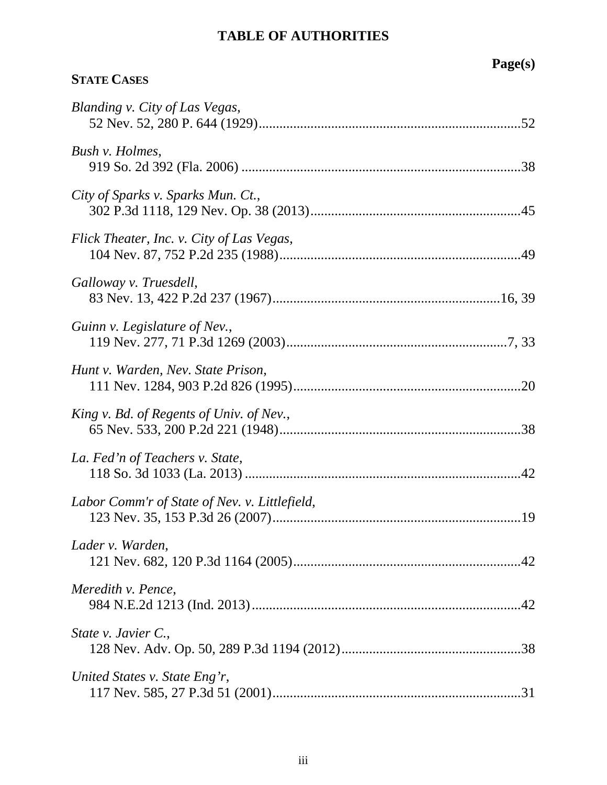# **TABLE OF AUTHORITIES**

**STATE CASES**

# **Page(s)**

| Blanding v. City of Las Vegas,                |
|-----------------------------------------------|
| Bush v. Holmes,                               |
| City of Sparks v. Sparks Mun. Ct.,            |
| Flick Theater, Inc. v. City of Las Vegas,     |
| Galloway v. Truesdell,                        |
| Guinn v. Legislature of Nev.,                 |
| Hunt v. Warden, Nev. State Prison,            |
| King v. Bd. of Regents of Univ. of Nev.,      |
| La. Fed'n of Teachers v. State,               |
| Labor Comm'r of State of Nev. v. Littlefield, |
| Lader v. Warden,                              |
| Meredith v. Pence,                            |
| State v. Javier C.,                           |
| United States v. State Eng'r,                 |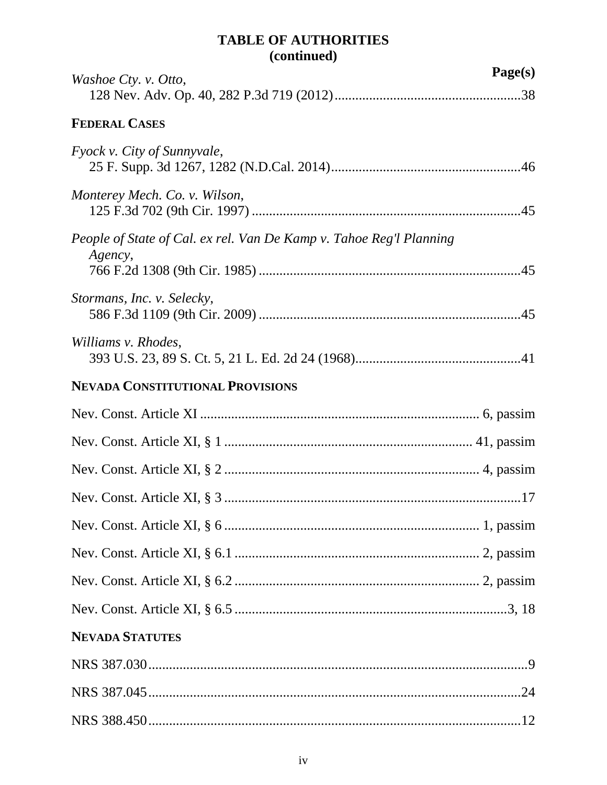## **TABLE OF AUTHORITIES (continued)**

| Washoe Cty. v. Otto,                                                           | Page(s) |
|--------------------------------------------------------------------------------|---------|
|                                                                                |         |
| <b>FEDERAL CASES</b>                                                           |         |
| Fyock v. City of Sunnyvale,                                                    |         |
| Monterey Mech. Co. v. Wilson,                                                  |         |
| People of State of Cal. ex rel. Van De Kamp v. Tahoe Reg'l Planning<br>Agency, |         |
|                                                                                |         |
| Stormans, Inc. v. Selecky,                                                     |         |
| Williams v. Rhodes,                                                            |         |
| <b>NEVADA CONSTITUTIONAL PROVISIONS</b>                                        |         |
|                                                                                |         |
|                                                                                |         |
|                                                                                |         |
|                                                                                |         |
|                                                                                |         |
|                                                                                |         |
|                                                                                |         |
|                                                                                |         |
| <b>NEVADA STATUTES</b>                                                         |         |
|                                                                                |         |
|                                                                                |         |
|                                                                                |         |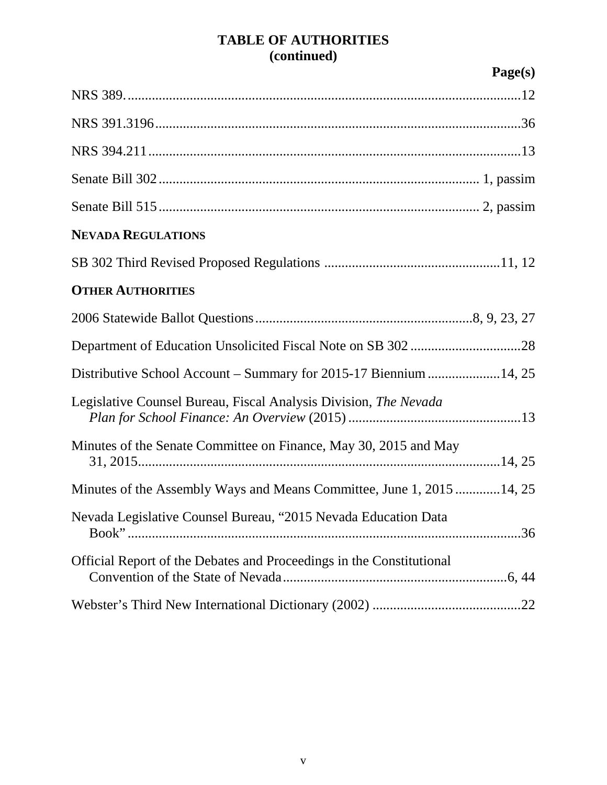## **TABLE OF AUTHORITIES (continued)**

|                                                                      | Page(s) |
|----------------------------------------------------------------------|---------|
|                                                                      |         |
|                                                                      |         |
|                                                                      |         |
|                                                                      |         |
|                                                                      |         |
| <b>NEVADA REGULATIONS</b>                                            |         |
|                                                                      |         |
| <b>OTHER AUTHORITIES</b>                                             |         |
|                                                                      |         |
|                                                                      |         |
| Distributive School Account – Summary for 2015-17 Biennium 14, 25    |         |
| Legislative Counsel Bureau, Fiscal Analysis Division, The Nevada     |         |
| Minutes of the Senate Committee on Finance, May 30, 2015 and May     |         |
| Minutes of the Assembly Ways and Means Committee, June 1, 201514, 25 |         |
| Nevada Legislative Counsel Bureau, "2015 Nevada Education Data       |         |
| Official Report of the Debates and Proceedings in the Constitutional |         |
|                                                                      |         |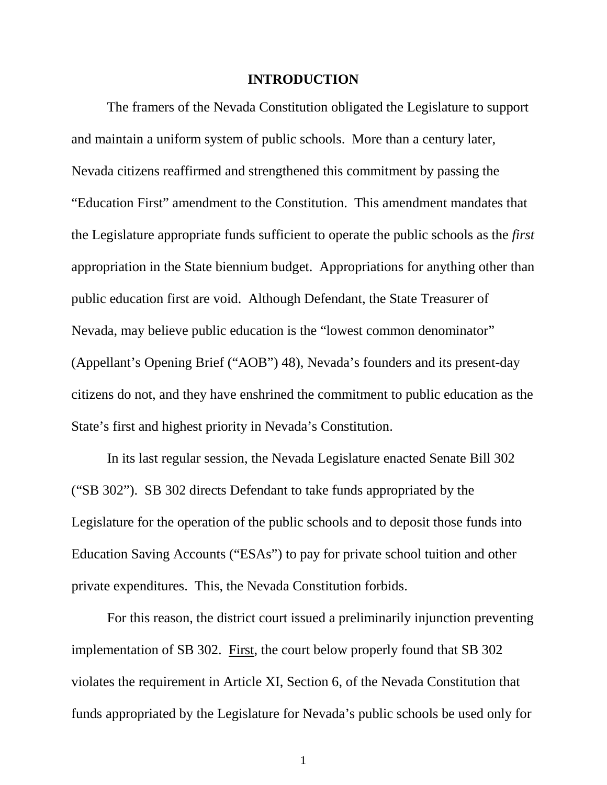#### **INTRODUCTION**

The framers of the Nevada Constitution obligated the Legislature to support and maintain a uniform system of public schools. More than a century later, Nevada citizens reaffirmed and strengthened this commitment by passing the "Education First" amendment to the Constitution. This amendment mandates that the Legislature appropriate funds sufficient to operate the public schools as the *first* appropriation in the State biennium budget. Appropriations for anything other than public education first are void. Although Defendant, the State Treasurer of Nevada, may believe public education is the "lowest common denominator" (Appellant's Opening Brief ("AOB") 48), Nevada's founders and its present-day citizens do not, and they have enshrined the commitment to public education as the State's first and highest priority in Nevada's Constitution.

In its last regular session, the Nevada Legislature enacted Senate Bill 302 ("SB 302"). SB 302 directs Defendant to take funds appropriated by the Legislature for the operation of the public schools and to deposit those funds into Education Saving Accounts ("ESAs") to pay for private school tuition and other private expenditures. This, the Nevada Constitution forbids.

For this reason, the district court issued a preliminarily injunction preventing implementation of SB 302. First, the court below properly found that SB 302 violates the requirement in Article XI, Section 6, of the Nevada Constitution that funds appropriated by the Legislature for Nevada's public schools be used only for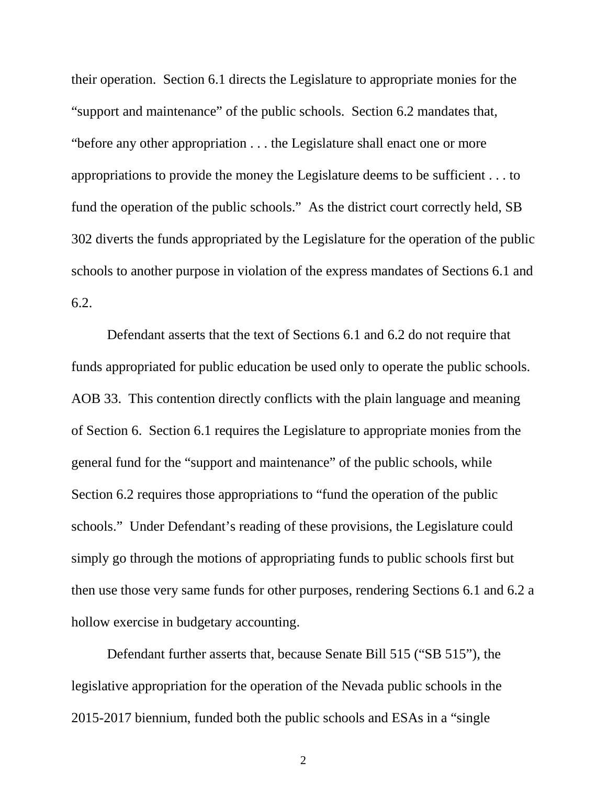their operation. Section 6.1 directs the Legislature to appropriate monies for the "support and maintenance" of the public schools. Section 6.2 mandates that, "before any other appropriation . . . the Legislature shall enact one or more appropriations to provide the money the Legislature deems to be sufficient . . . to fund the operation of the public schools." As the district court correctly held, SB 302 diverts the funds appropriated by the Legislature for the operation of the public schools to another purpose in violation of the express mandates of Sections 6.1 and 6.2.

Defendant asserts that the text of Sections 6.1 and 6.2 do not require that funds appropriated for public education be used only to operate the public schools. AOB 33. This contention directly conflicts with the plain language and meaning of Section 6. Section 6.1 requires the Legislature to appropriate monies from the general fund for the "support and maintenance" of the public schools, while Section 6.2 requires those appropriations to "fund the operation of the public schools." Under Defendant's reading of these provisions, the Legislature could simply go through the motions of appropriating funds to public schools first but then use those very same funds for other purposes, rendering Sections 6.1 and 6.2 a hollow exercise in budgetary accounting.

Defendant further asserts that, because Senate Bill 515 ("SB 515"), the legislative appropriation for the operation of the Nevada public schools in the 2015-2017 biennium, funded both the public schools and ESAs in a "single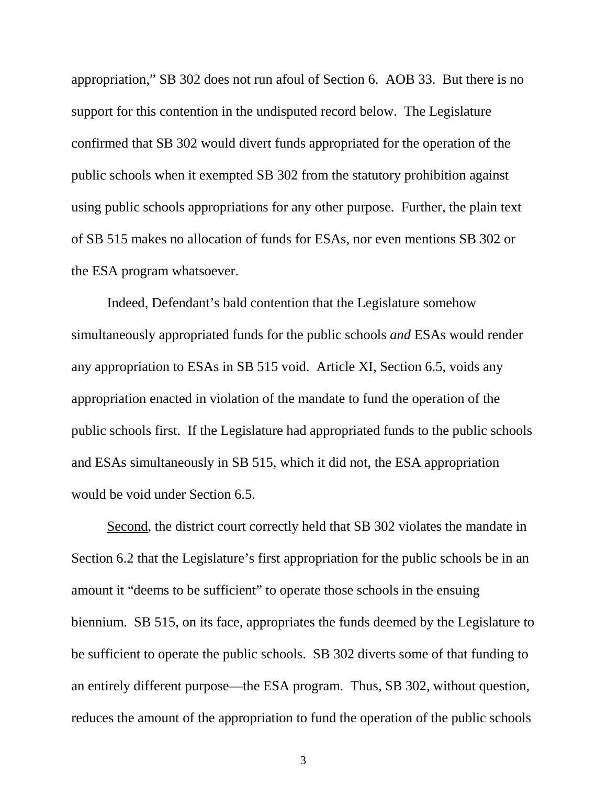appropriation," SB 302 does not run afoul of Section 6. AOB 33. But there is no support for this contention in the undisputed record below. The Legislature confirmed that SB 302 would divert funds appropriated for the operation of the public schools when it exempted SB 302 from the statutory prohibition against using public schools appropriations for any other purpose. Further, the plain text of SB 515 makes no allocation of funds for ESAs, nor even mentions SB 302 or the ESA program whatsoever.

Indeed, Defendant's bald contention that the Legislature somehow simultaneously appropriated funds for the public schools *and* ESAs would render any appropriation to ESAs in SB 515 void. Article XI, Section 6.5, voids any appropriation enacted in violation of the mandate to fund the operation of the public schools first. If the Legislature had appropriated funds to the public schools and ESAs simultaneously in SB 515, which it did not, the ESA appropriation would be void under Section 6.5.

Second, the district court correctly held that SB 302 violates the mandate in Section 6.2 that the Legislature's first appropriation for the public schools be in an amount it "deems to be sufficient" to operate those schools in the ensuing biennium. SB 515, on its face, appropriates the funds deemed by the Legislature to be sufficient to operate the public schools. SB 302 diverts some of that funding to an entirely different purpose—the ESA program. Thus, SB 302, without question, reduces the amount of the appropriation to fund the operation of the public schools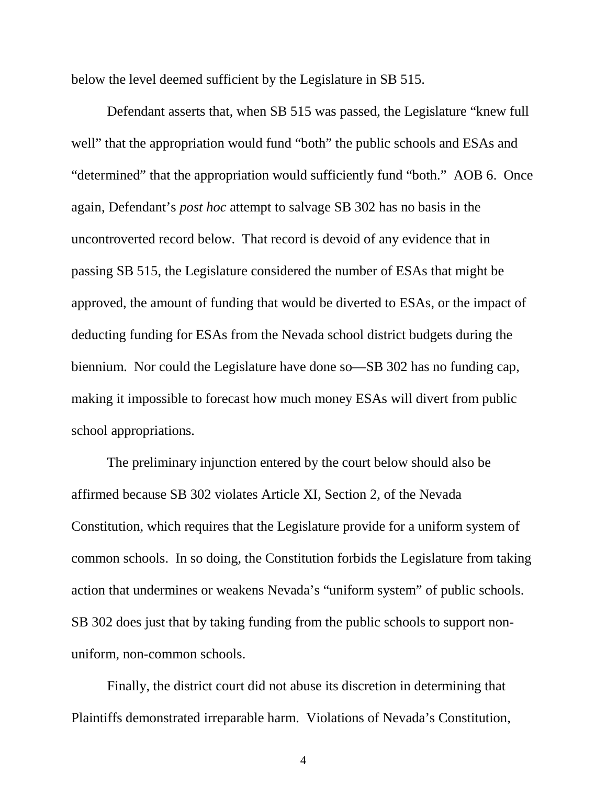below the level deemed sufficient by the Legislature in SB 515.

Defendant asserts that, when SB 515 was passed, the Legislature "knew full well" that the appropriation would fund "both" the public schools and ESAs and "determined" that the appropriation would sufficiently fund "both." AOB 6. Once again, Defendant's *post hoc* attempt to salvage SB 302 has no basis in the uncontroverted record below. That record is devoid of any evidence that in passing SB 515, the Legislature considered the number of ESAs that might be approved, the amount of funding that would be diverted to ESAs, or the impact of deducting funding for ESAs from the Nevada school district budgets during the biennium. Nor could the Legislature have done so—SB 302 has no funding cap, making it impossible to forecast how much money ESAs will divert from public school appropriations.

The preliminary injunction entered by the court below should also be affirmed because SB 302 violates Article XI, Section 2, of the Nevada Constitution, which requires that the Legislature provide for a uniform system of common schools. In so doing, the Constitution forbids the Legislature from taking action that undermines or weakens Nevada's "uniform system" of public schools. SB 302 does just that by taking funding from the public schools to support nonuniform, non-common schools.

Finally, the district court did not abuse its discretion in determining that Plaintiffs demonstrated irreparable harm. Violations of Nevada's Constitution,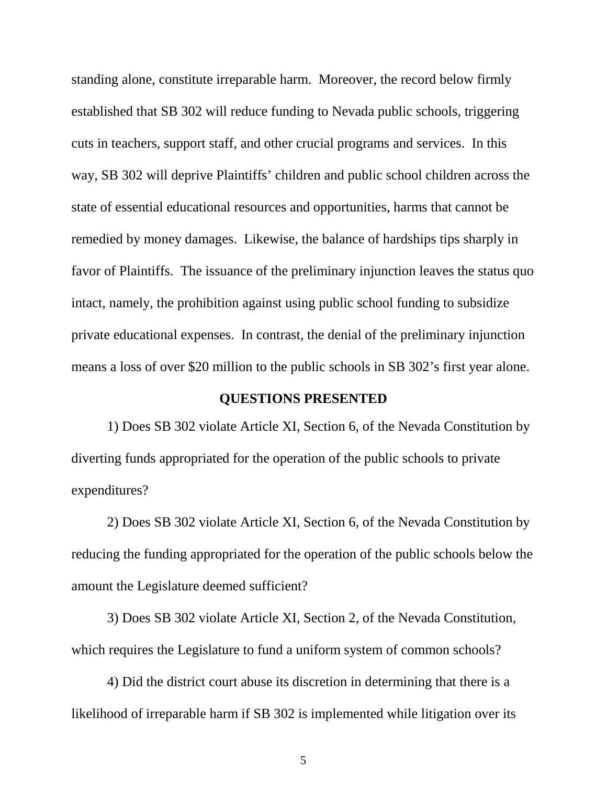standing alone, constitute irreparable harm. Moreover, the record below firmly established that SB 302 will reduce funding to Nevada public schools, triggering cuts in teachers, support staff, and other crucial programs and services. In this way, SB 302 will deprive Plaintiffs' children and public school children across the state of essential educational resources and opportunities, harms that cannot be remedied by money damages. Likewise, the balance of hardships tips sharply in favor of Plaintiffs. The issuance of the preliminary injunction leaves the status quo intact, namely, the prohibition against using public school funding to subsidize private educational expenses. In contrast, the denial of the preliminary injunction means a loss of over \$20 million to the public schools in SB 302's first year alone.

#### **QUESTIONS PRESENTED**

1) Does SB 302 violate Article XI, Section 6, of the Nevada Constitution by diverting funds appropriated for the operation of the public schools to private expenditures?

2) Does SB 302 violate Article XI, Section 6, of the Nevada Constitution by reducing the funding appropriated for the operation of the public schools below the amount the Legislature deemed sufficient?

3) Does SB 302 violate Article XI, Section 2, of the Nevada Constitution, which requires the Legislature to fund a uniform system of common schools?

4) Did the district court abuse its discretion in determining that there is a likelihood of irreparable harm if SB 302 is implemented while litigation over its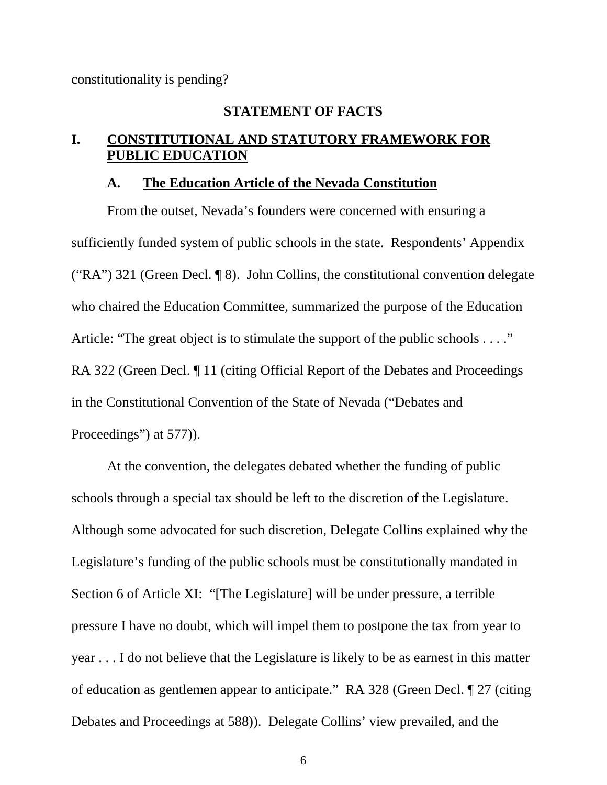constitutionality is pending?

#### **STATEMENT OF FACTS**

#### **I. CONSTITUTIONAL AND STATUTORY FRAMEWORK FOR PUBLIC EDUCATION**

#### **A. The Education Article of the Nevada Constitution**

From the outset, Nevada's founders were concerned with ensuring a sufficiently funded system of public schools in the state. Respondents' Appendix ("RA") 321 (Green Decl. ¶ 8). John Collins, the constitutional convention delegate who chaired the Education Committee, summarized the purpose of the Education Article: "The great object is to stimulate the support of the public schools . . . ." RA 322 (Green Decl. *I* 11 (citing Official Report of the Debates and Proceedings in the Constitutional Convention of the State of Nevada ("Debates and Proceedings") at 577)).

At the convention, the delegates debated whether the funding of public schools through a special tax should be left to the discretion of the Legislature. Although some advocated for such discretion, Delegate Collins explained why the Legislature's funding of the public schools must be constitutionally mandated in Section 6 of Article XI: "[The Legislature] will be under pressure, a terrible pressure I have no doubt, which will impel them to postpone the tax from year to year . . . I do not believe that the Legislature is likely to be as earnest in this matter of education as gentlemen appear to anticipate." RA 328 (Green Decl. ¶ 27 (citing Debates and Proceedings at 588)). Delegate Collins' view prevailed, and the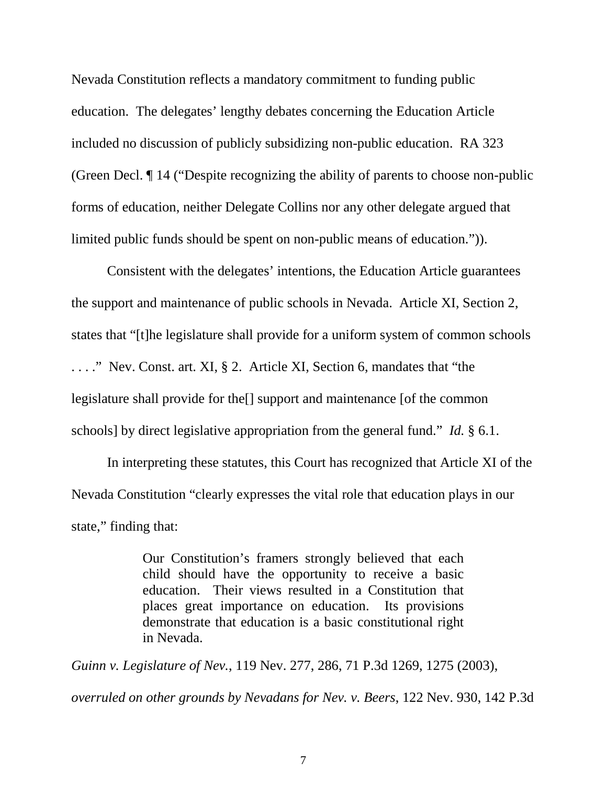Nevada Constitution reflects a mandatory commitment to funding public education. The delegates' lengthy debates concerning the Education Article included no discussion of publicly subsidizing non-public education. RA 323 (Green Decl. ¶ 14 ("Despite recognizing the ability of parents to choose non-public forms of education, neither Delegate Collins nor any other delegate argued that limited public funds should be spent on non-public means of education.")).

Consistent with the delegates' intentions, the Education Article guarantees the support and maintenance of public schools in Nevada. Article XI, Section 2, states that "[t]he legislature shall provide for a uniform system of common schools . . . ." Nev. Const. art. XI, § 2. Article XI, Section 6, mandates that "the legislature shall provide for the[] support and maintenance [of the common schools] by direct legislative appropriation from the general fund." *Id.* § 6.1.

In interpreting these statutes, this Court has recognized that Article XI of the Nevada Constitution "clearly expresses the vital role that education plays in our state," finding that:

> Our Constitution's framers strongly believed that each child should have the opportunity to receive a basic education. Their views resulted in a Constitution that places great importance on education. Its provisions demonstrate that education is a basic constitutional right in Nevada.

*Guinn v. Legislature of Nev.*, 119 Nev. 277, 286, 71 P.3d 1269, 1275 (2003), *overruled on other grounds by Nevadans for Nev. v. Beers*, 122 Nev. 930, 142 P.3d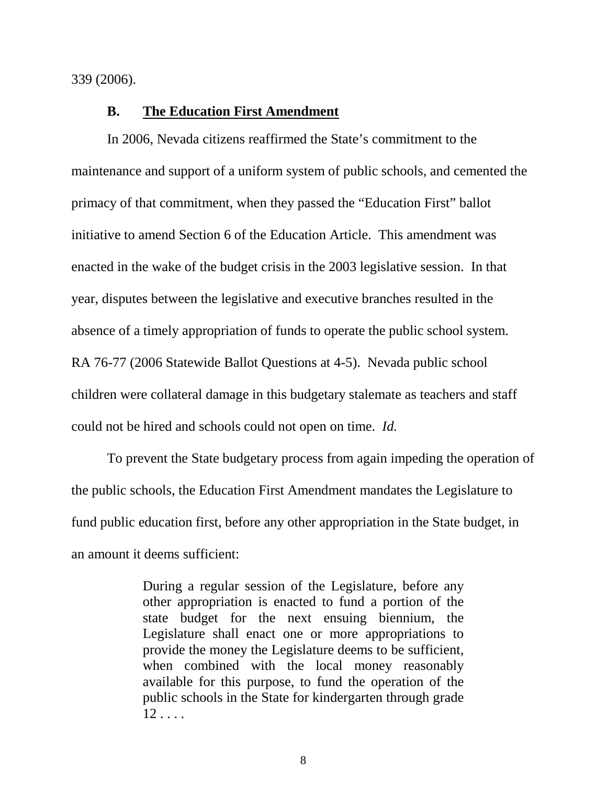339 (2006).

#### **B. The Education First Amendment**

In 2006, Nevada citizens reaffirmed the State's commitment to the maintenance and support of a uniform system of public schools, and cemented the primacy of that commitment, when they passed the "Education First" ballot initiative to amend Section 6 of the Education Article. This amendment was enacted in the wake of the budget crisis in the 2003 legislative session. In that year, disputes between the legislative and executive branches resulted in the absence of a timely appropriation of funds to operate the public school system. RA 76-77 (2006 Statewide Ballot Questions at 4-5). Nevada public school children were collateral damage in this budgetary stalemate as teachers and staff could not be hired and schools could not open on time. *Id.*

To prevent the State budgetary process from again impeding the operation of the public schools, the Education First Amendment mandates the Legislature to fund public education first, before any other appropriation in the State budget, in an amount it deems sufficient:

> During a regular session of the Legislature, before any other appropriation is enacted to fund a portion of the state budget for the next ensuing biennium, the Legislature shall enact one or more appropriations to provide the money the Legislature deems to be sufficient, when combined with the local money reasonably available for this purpose, to fund the operation of the public schools in the State for kindergarten through grade  $12 \ldots$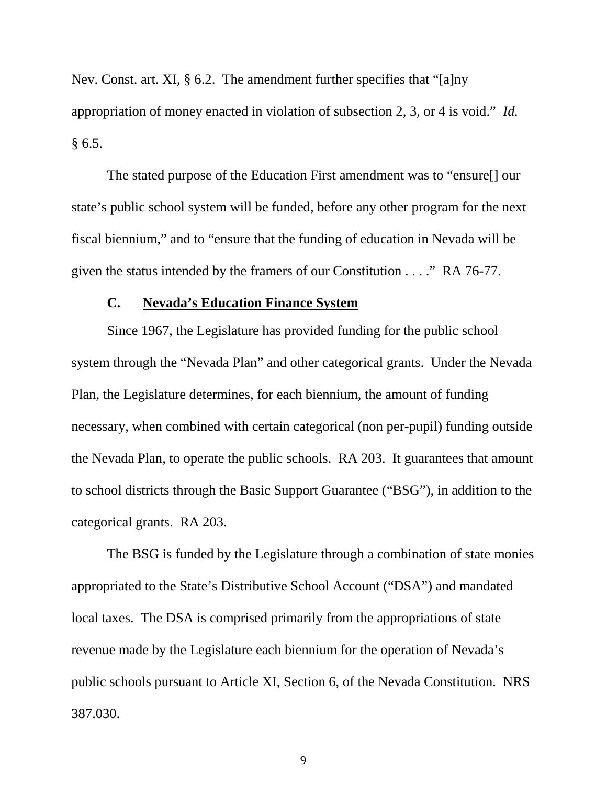Nev. Const. art. XI, § 6.2. The amendment further specifies that "[a]ny appropriation of money enacted in violation of subsection 2, 3, or 4 is void." *Id.*  $§ 6.5.$ 

The stated purpose of the Education First amendment was to "ensure[] our state's public school system will be funded, before any other program for the next fiscal biennium," and to "ensure that the funding of education in Nevada will be given the status intended by the framers of our Constitution . . . ." RA 76-77.

#### **C. Nevada's Education Finance System**

Since 1967, the Legislature has provided funding for the public school system through the "Nevada Plan" and other categorical grants. Under the Nevada Plan, the Legislature determines, for each biennium, the amount of funding necessary, when combined with certain categorical (non per-pupil) funding outside the Nevada Plan, to operate the public schools. RA 203. It guarantees that amount to school districts through the Basic Support Guarantee ("BSG"), in addition to the categorical grants. RA 203.

The BSG is funded by the Legislature through a combination of state monies appropriated to the State's Distributive School Account ("DSA") and mandated local taxes. The DSA is comprised primarily from the appropriations of state revenue made by the Legislature each biennium for the operation of Nevada's public schools pursuant to Article XI, Section 6, of the Nevada Constitution. NRS 387.030.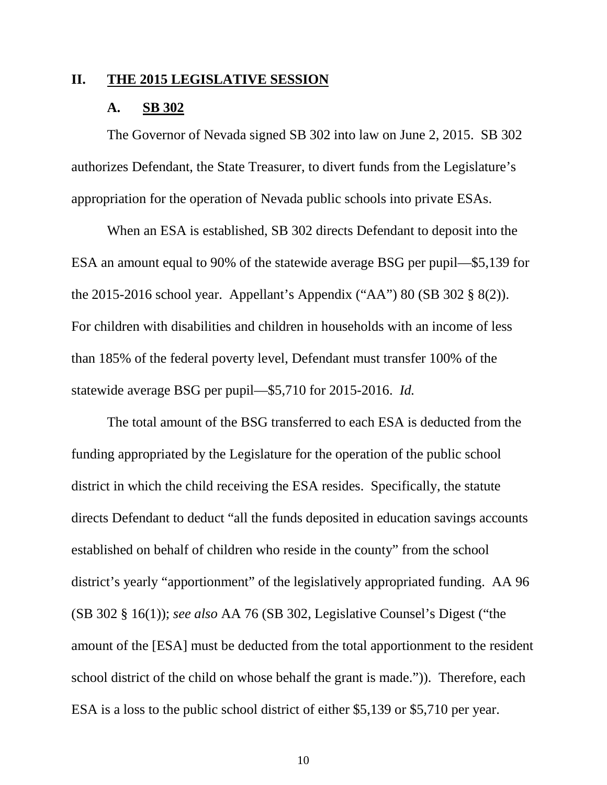#### **II. THE 2015 LEGISLATIVE SESSION**

#### **A. SB 302**

The Governor of Nevada signed SB 302 into law on June 2, 2015. SB 302 authorizes Defendant, the State Treasurer, to divert funds from the Legislature's appropriation for the operation of Nevada public schools into private ESAs.

When an ESA is established, SB 302 directs Defendant to deposit into the ESA an amount equal to 90% of the statewide average BSG per pupil—\$5,139 for the 2015-2016 school year. Appellant's Appendix ("AA") 80 (SB 302 § 8(2)). For children with disabilities and children in households with an income of less than 185% of the federal poverty level, Defendant must transfer 100% of the statewide average BSG per pupil—\$5,710 for 2015-2016. *Id.*

The total amount of the BSG transferred to each ESA is deducted from the funding appropriated by the Legislature for the operation of the public school district in which the child receiving the ESA resides. Specifically, the statute directs Defendant to deduct "all the funds deposited in education savings accounts established on behalf of children who reside in the county" from the school district's yearly "apportionment" of the legislatively appropriated funding. AA 96 (SB 302 § 16(1)); *see also* AA 76 (SB 302, Legislative Counsel's Digest ("the amount of the [ESA] must be deducted from the total apportionment to the resident school district of the child on whose behalf the grant is made.")). Therefore, each ESA is a loss to the public school district of either \$5,139 or \$5,710 per year.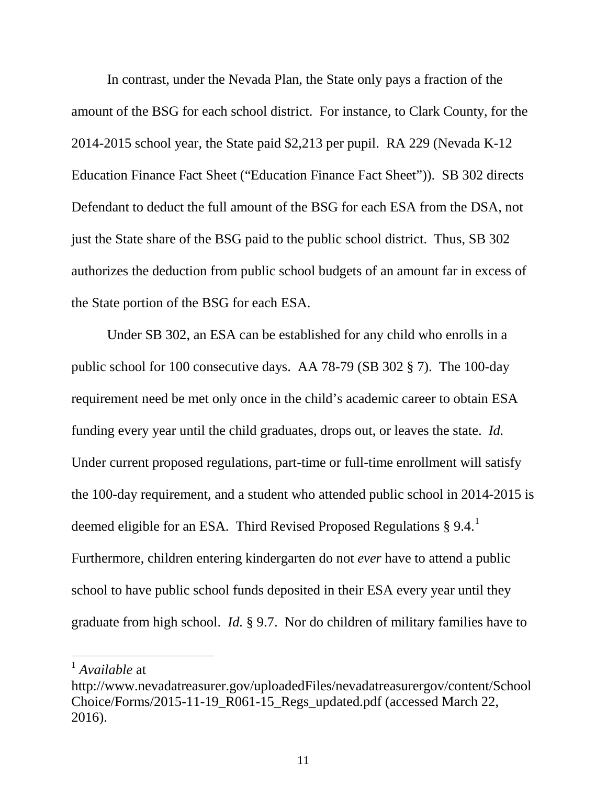In contrast, under the Nevada Plan, the State only pays a fraction of the amount of the BSG for each school district. For instance, to Clark County, for the 2014-2015 school year, the State paid \$2,213 per pupil. RA 229 (Nevada K-12 Education Finance Fact Sheet ("Education Finance Fact Sheet")). SB 302 directs Defendant to deduct the full amount of the BSG for each ESA from the DSA, not just the State share of the BSG paid to the public school district. Thus, SB 302 authorizes the deduction from public school budgets of an amount far in excess of the State portion of the BSG for each ESA.

Under SB 302, an ESA can be established for any child who enrolls in a public school for 100 consecutive days. AA 78-79 (SB 302 § 7). The 100-day requirement need be met only once in the child's academic career to obtain ESA funding every year until the child graduates, drops out, or leaves the state. *Id.* Under current proposed regulations, part-time or full-time enrollment will satisfy the 100-day requirement, and a student who attended public school in 2014-2015 is deemed eligible for an ESA. Third Revised Proposed Regulations  $\S 9.4$ .<sup>[1](#page-0-0)</sup> Furthermore, children entering kindergarten do not *ever* have to attend a public school to have public school funds deposited in their ESA every year until they graduate from high school. *Id.* § 9.7. Nor do children of military families have to

 <sup>1</sup> *Available* at

<span id="page-17-0"></span>http://www.nevadatreasurer.gov/uploadedFiles/nevadatreasurergov/content/School Choice/Forms/2015-11-19\_R061-15\_Regs\_updated.pdf (accessed March 22, 2016).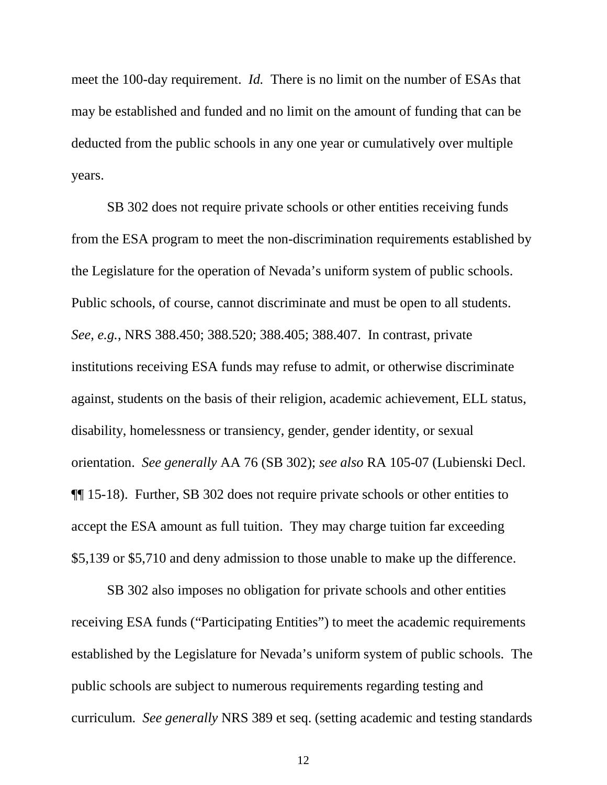meet the 100-day requirement. *Id.* There is no limit on the number of ESAs that may be established and funded and no limit on the amount of funding that can be deducted from the public schools in any one year or cumulatively over multiple years.

SB 302 does not require private schools or other entities receiving funds from the ESA program to meet the non-discrimination requirements established by the Legislature for the operation of Nevada's uniform system of public schools. Public schools, of course, cannot discriminate and must be open to all students. *See, e.g.*, NRS 388.450; 388.520; 388.405; 388.407. In contrast, private institutions receiving ESA funds may refuse to admit, or otherwise discriminate against, students on the basis of their religion, academic achievement, ELL status, disability, homelessness or transiency, gender, gender identity, or sexual orientation. *See generally* AA 76 (SB 302); *see also* RA 105-07 (Lubienski Decl. ¶¶ 15-18). Further, SB 302 does not require private schools or other entities to accept the ESA amount as full tuition. They may charge tuition far exceeding \$5,139 or \$5,710 and deny admission to those unable to make up the difference.

SB 302 also imposes no obligation for private schools and other entities receiving ESA funds ("Participating Entities") to meet the academic requirements established by the Legislature for Nevada's uniform system of public schools. The public schools are subject to numerous requirements regarding testing and curriculum. *See generally* NRS 389 et seq. (setting academic and testing standards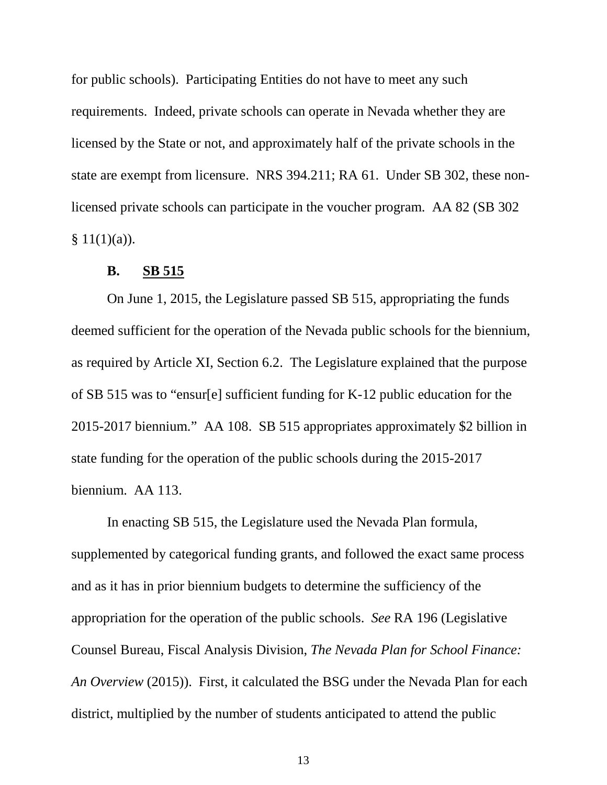for public schools). Participating Entities do not have to meet any such requirements. Indeed, private schools can operate in Nevada whether they are licensed by the State or not, and approximately half of the private schools in the state are exempt from licensure. NRS 394.211; RA 61. Under SB 302, these nonlicensed private schools can participate in the voucher program. AA 82 (SB 302  $§ 11(1)(a)).$ 

#### **B. SB 515**

On June 1, 2015, the Legislature passed SB 515, appropriating the funds deemed sufficient for the operation of the Nevada public schools for the biennium, as required by Article XI, Section 6.2. The Legislature explained that the purpose of SB 515 was to "ensur[e] sufficient funding for K-12 public education for the 2015-2017 biennium." AA 108. SB 515 appropriates approximately \$2 billion in state funding for the operation of the public schools during the 2015-2017 biennium. AA 113.

In enacting SB 515, the Legislature used the Nevada Plan formula, supplemented by categorical funding grants, and followed the exact same process and as it has in prior biennium budgets to determine the sufficiency of the appropriation for the operation of the public schools. *See* RA 196 (Legislative Counsel Bureau, Fiscal Analysis Division, *The Nevada Plan for School Finance: An Overview* (2015)). First, it calculated the BSG under the Nevada Plan for each district, multiplied by the number of students anticipated to attend the public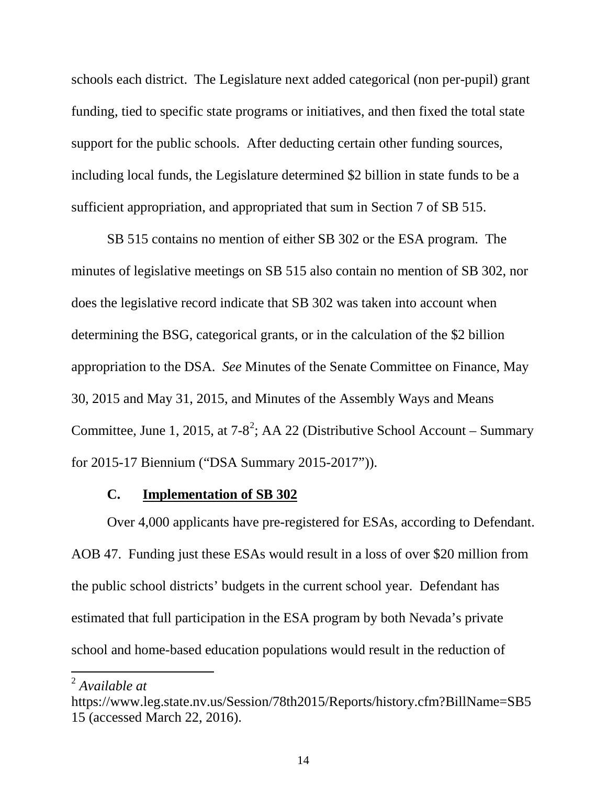schools each district. The Legislature next added categorical (non per-pupil) grant funding, tied to specific state programs or initiatives, and then fixed the total state support for the public schools. After deducting certain other funding sources, including local funds, the Legislature determined \$2 billion in state funds to be a sufficient appropriation, and appropriated that sum in Section 7 of SB 515.

SB 515 contains no mention of either SB 302 or the ESA program. The minutes of legislative meetings on SB 515 also contain no mention of SB 302, nor does the legislative record indicate that SB 302 was taken into account when determining the BSG, categorical grants, or in the calculation of the \$2 billion appropriation to the DSA. *See* Minutes of the Senate Committee on Finance, May 30, 2015 and May 31, 2015, and Minutes of the Assembly Ways and Means Committee, June 1, [2](#page-17-0)015, at 7-8<sup>2</sup>; AA 22 (Distributive School Account – Summary for 2015-17 Biennium ("DSA Summary 2015-2017")).

#### **C. Implementation of SB 302**

Over 4,000 applicants have pre-registered for ESAs, according to Defendant. AOB 47. Funding just these ESAs would result in a loss of over \$20 million from the public school districts' budgets in the current school year. Defendant has estimated that full participation in the ESA program by both Nevada's private school and home-based education populations would result in the reduction of

<span id="page-20-0"></span> <sup>2</sup> *Available at*

https://www.leg.state.nv.us/Session/78th2015/Reports/history.cfm?BillName=SB5 15 (accessed March 22, 2016).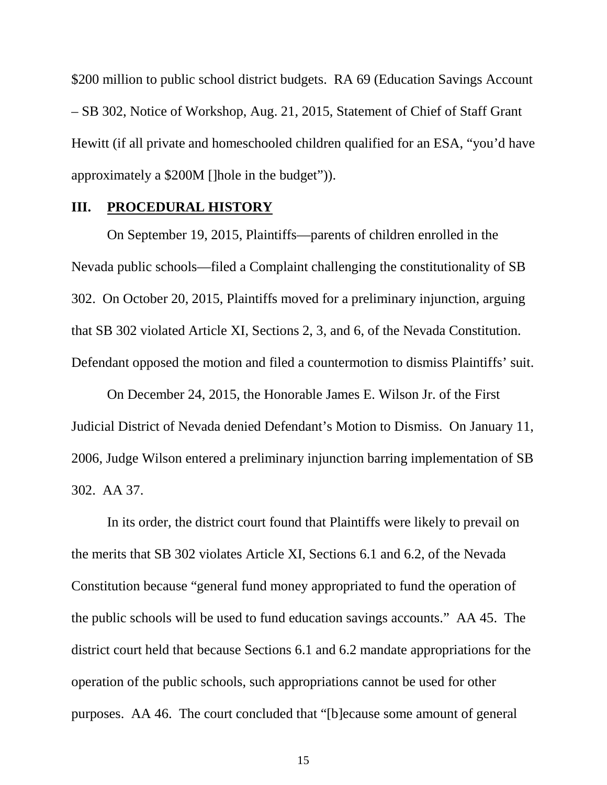\$200 million to public school district budgets. RA 69 (Education Savings Account – SB 302, Notice of Workshop, Aug. 21, 2015, Statement of Chief of Staff Grant Hewitt (if all private and homeschooled children qualified for an ESA, "you'd have approximately a \$200M []hole in the budget")).

#### **III. PROCEDURAL HISTORY**

On September 19, 2015, Plaintiffs—parents of children enrolled in the Nevada public schools—filed a Complaint challenging the constitutionality of SB 302. On October 20, 2015, Plaintiffs moved for a preliminary injunction, arguing that SB 302 violated Article XI, Sections 2, 3, and 6, of the Nevada Constitution. Defendant opposed the motion and filed a countermotion to dismiss Plaintiffs' suit.

On December 24, 2015, the Honorable James E. Wilson Jr. of the First Judicial District of Nevada denied Defendant's Motion to Dismiss. On January 11, 2006, Judge Wilson entered a preliminary injunction barring implementation of SB 302. AA 37.

In its order, the district court found that Plaintiffs were likely to prevail on the merits that SB 302 violates Article XI, Sections 6.1 and 6.2, of the Nevada Constitution because "general fund money appropriated to fund the operation of the public schools will be used to fund education savings accounts." AA 45. The district court held that because Sections 6.1 and 6.2 mandate appropriations for the operation of the public schools, such appropriations cannot be used for other purposes. AA 46. The court concluded that "[b]ecause some amount of general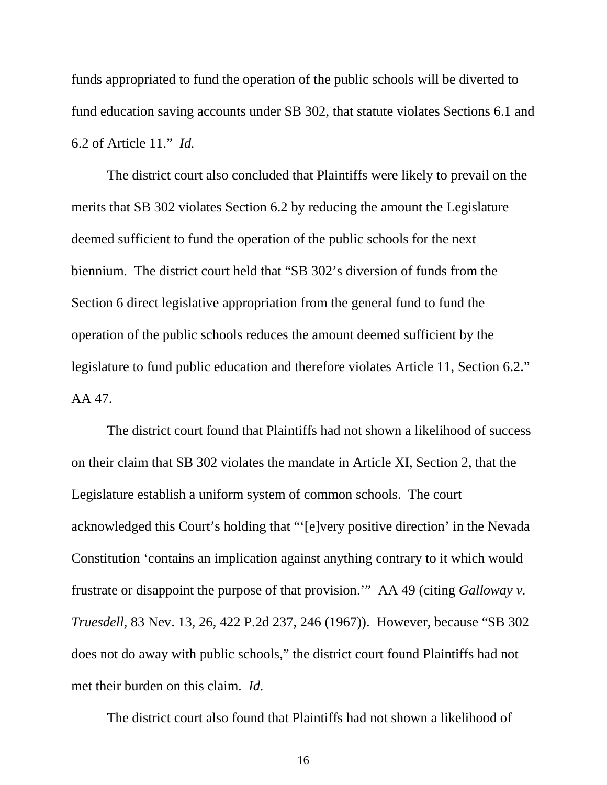funds appropriated to fund the operation of the public schools will be diverted to fund education saving accounts under SB 302, that statute violates Sections 6.1 and 6.2 of Article 11." *Id.*

The district court also concluded that Plaintiffs were likely to prevail on the merits that SB 302 violates Section 6.2 by reducing the amount the Legislature deemed sufficient to fund the operation of the public schools for the next biennium. The district court held that "SB 302's diversion of funds from the Section 6 direct legislative appropriation from the general fund to fund the operation of the public schools reduces the amount deemed sufficient by the legislature to fund public education and therefore violates Article 11, Section 6.2." AA 47.

The district court found that Plaintiffs had not shown a likelihood of success on their claim that SB 302 violates the mandate in Article XI, Section 2, that the Legislature establish a uniform system of common schools. The court acknowledged this Court's holding that "'[e]very positive direction' in the Nevada Constitution 'contains an implication against anything contrary to it which would frustrate or disappoint the purpose of that provision.'" AA 49 (citing *Galloway v. Truesdell*, 83 Nev. 13, 26, 422 P.2d 237, 246 (1967)). However, because "SB 302 does not do away with public schools," the district court found Plaintiffs had not met their burden on this claim. *Id.*

The district court also found that Plaintiffs had not shown a likelihood of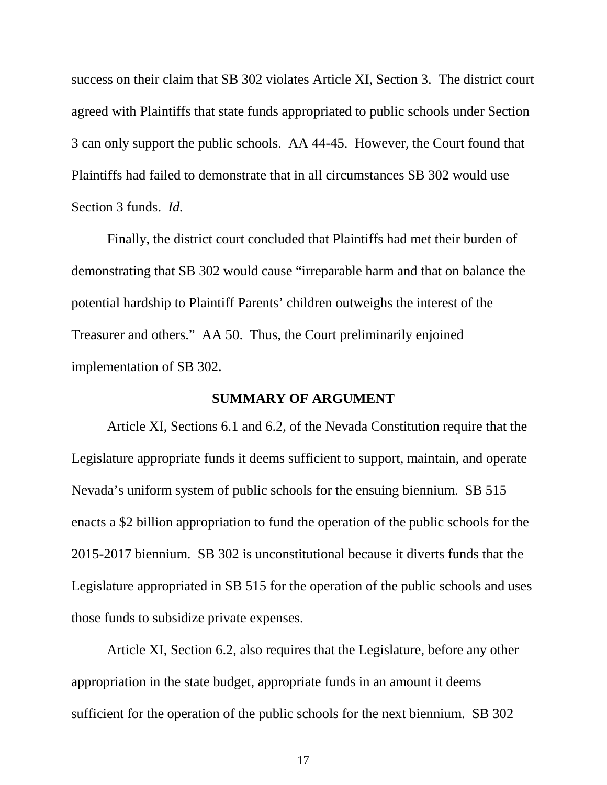success on their claim that SB 302 violates Article XI, Section 3. The district court agreed with Plaintiffs that state funds appropriated to public schools under Section 3 can only support the public schools. AA 44-45. However, the Court found that Plaintiffs had failed to demonstrate that in all circumstances SB 302 would use Section 3 funds. *Id.*

Finally, the district court concluded that Plaintiffs had met their burden of demonstrating that SB 302 would cause "irreparable harm and that on balance the potential hardship to Plaintiff Parents' children outweighs the interest of the Treasurer and others." AA 50. Thus, the Court preliminarily enjoined implementation of SB 302.

#### **SUMMARY OF ARGUMENT**

Article XI, Sections 6.1 and 6.2, of the Nevada Constitution require that the Legislature appropriate funds it deems sufficient to support, maintain, and operate Nevada's uniform system of public schools for the ensuing biennium. SB 515 enacts a \$2 billion appropriation to fund the operation of the public schools for the 2015-2017 biennium. SB 302 is unconstitutional because it diverts funds that the Legislature appropriated in SB 515 for the operation of the public schools and uses those funds to subsidize private expenses.

Article XI, Section 6.2, also requires that the Legislature, before any other appropriation in the state budget, appropriate funds in an amount it deems sufficient for the operation of the public schools for the next biennium. SB 302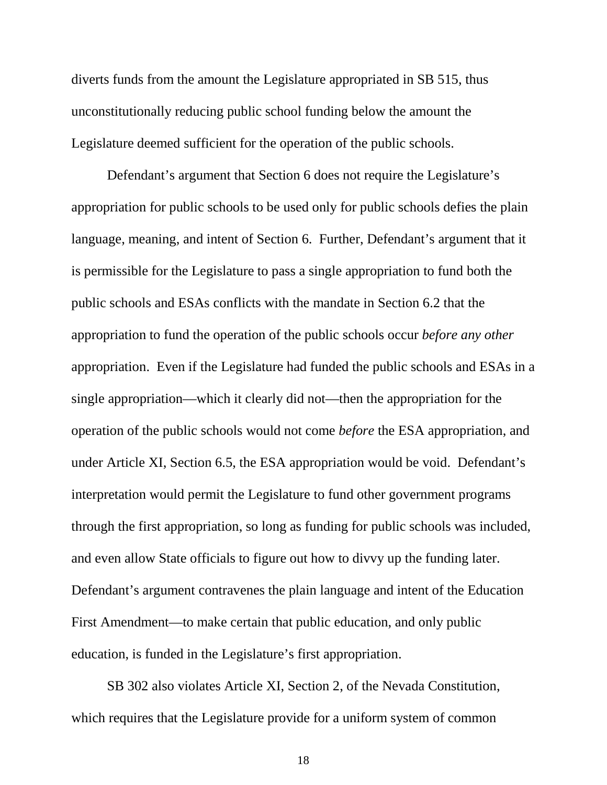diverts funds from the amount the Legislature appropriated in SB 515, thus unconstitutionally reducing public school funding below the amount the Legislature deemed sufficient for the operation of the public schools.

Defendant's argument that Section 6 does not require the Legislature's appropriation for public schools to be used only for public schools defies the plain language, meaning, and intent of Section 6. Further, Defendant's argument that it is permissible for the Legislature to pass a single appropriation to fund both the public schools and ESAs conflicts with the mandate in Section 6.2 that the appropriation to fund the operation of the public schools occur *before any other* appropriation. Even if the Legislature had funded the public schools and ESAs in a single appropriation—which it clearly did not—then the appropriation for the operation of the public schools would not come *before* the ESA appropriation, and under Article XI, Section 6.5, the ESA appropriation would be void. Defendant's interpretation would permit the Legislature to fund other government programs through the first appropriation, so long as funding for public schools was included, and even allow State officials to figure out how to divvy up the funding later. Defendant's argument contravenes the plain language and intent of the Education First Amendment—to make certain that public education, and only public education, is funded in the Legislature's first appropriation.

SB 302 also violates Article XI, Section 2, of the Nevada Constitution, which requires that the Legislature provide for a uniform system of common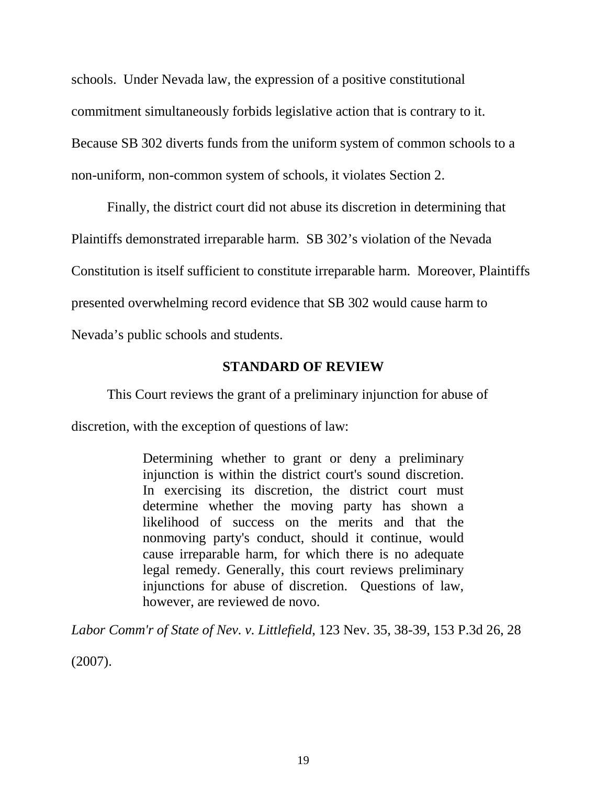schools. Under Nevada law, the expression of a positive constitutional commitment simultaneously forbids legislative action that is contrary to it. Because SB 302 diverts funds from the uniform system of common schools to a non-uniform, non-common system of schools, it violates Section 2.

Finally, the district court did not abuse its discretion in determining that Plaintiffs demonstrated irreparable harm. SB 302's violation of the Nevada Constitution is itself sufficient to constitute irreparable harm. Moreover, Plaintiffs presented overwhelming record evidence that SB 302 would cause harm to Nevada's public schools and students.

### **STANDARD OF REVIEW**

This Court reviews the grant of a preliminary injunction for abuse of discretion, with the exception of questions of law:

> Determining whether to grant or deny a preliminary injunction is within the district court's sound discretion. In exercising its discretion, the district court must determine whether the moving party has shown a likelihood of success on the merits and that the nonmoving party's conduct, should it continue, would cause irreparable harm, for which there is no adequate legal remedy. Generally, this court reviews preliminary injunctions for abuse of discretion. Questions of law, however, are reviewed de novo.

*Labor Comm'r of State of Nev. v. Littlefield*, 123 Nev. 35, 38-39, 153 P.3d 26, 28

(2007).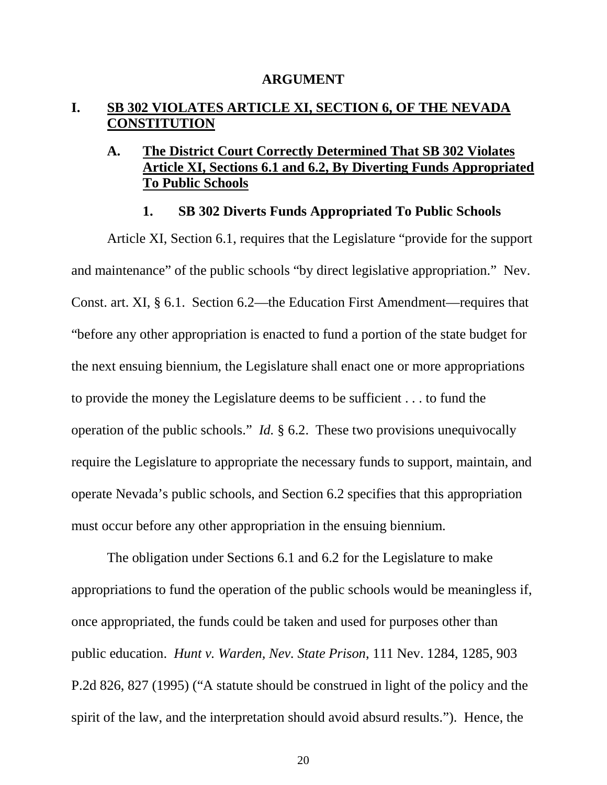#### **ARGUMENT**

### **I. SB 302 VIOLATES ARTICLE XI, SECTION 6, OF THE NEVADA CONSTITUTION**

### **A. The District Court Correctly Determined That SB 302 Violates Article XI, Sections 6.1 and 6.2, By Diverting Funds Appropriated To Public Schools**

#### **1. SB 302 Diverts Funds Appropriated To Public Schools**

Article XI, Section 6.1, requires that the Legislature "provide for the support and maintenance" of the public schools "by direct legislative appropriation." Nev. Const. art. XI, § 6.1. Section 6.2—the Education First Amendment—requires that "before any other appropriation is enacted to fund a portion of the state budget for the next ensuing biennium, the Legislature shall enact one or more appropriations to provide the money the Legislature deems to be sufficient . . . to fund the operation of the public schools." *Id.* § 6.2. These two provisions unequivocally require the Legislature to appropriate the necessary funds to support, maintain, and operate Nevada's public schools, and Section 6.2 specifies that this appropriation must occur before any other appropriation in the ensuing biennium.

The obligation under Sections 6.1 and 6.2 for the Legislature to make appropriations to fund the operation of the public schools would be meaningless if, once appropriated, the funds could be taken and used for purposes other than public education. *Hunt v. Warden, Nev. State Prison*, 111 Nev. 1284, 1285, 903 P.2d 826, 827 (1995) ("A statute should be construed in light of the policy and the spirit of the law, and the interpretation should avoid absurd results."). Hence, the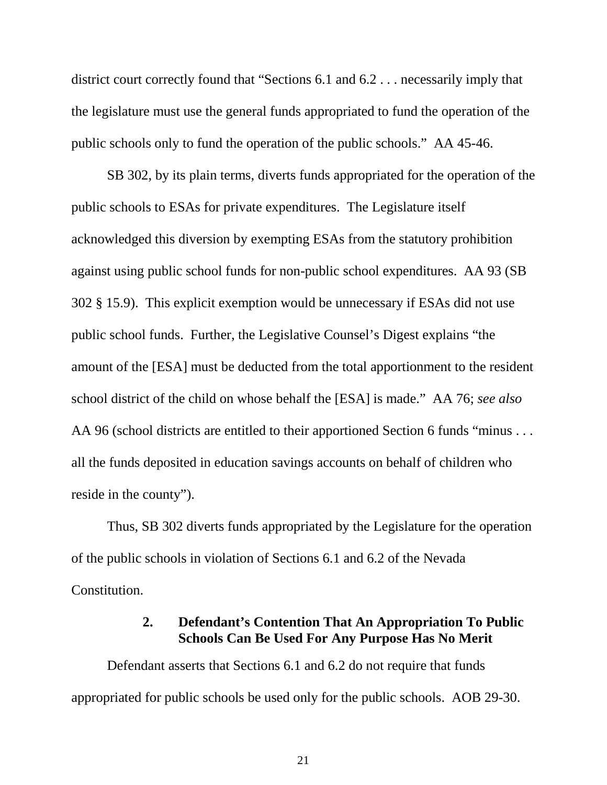district court correctly found that "Sections 6.1 and 6.2 . . . necessarily imply that the legislature must use the general funds appropriated to fund the operation of the public schools only to fund the operation of the public schools." AA 45-46.

SB 302, by its plain terms, diverts funds appropriated for the operation of the public schools to ESAs for private expenditures. The Legislature itself acknowledged this diversion by exempting ESAs from the statutory prohibition against using public school funds for non-public school expenditures. AA 93 (SB 302 § 15.9). This explicit exemption would be unnecessary if ESAs did not use public school funds. Further, the Legislative Counsel's Digest explains "the amount of the [ESA] must be deducted from the total apportionment to the resident school district of the child on whose behalf the [ESA] is made." AA 76; *see also*  AA 96 (school districts are entitled to their apportioned Section 6 funds "minus . . . all the funds deposited in education savings accounts on behalf of children who reside in the county").

Thus, SB 302 diverts funds appropriated by the Legislature for the operation of the public schools in violation of Sections 6.1 and 6.2 of the Nevada Constitution.

### **2. Defendant's Contention That An Appropriation To Public Schools Can Be Used For Any Purpose Has No Merit**

Defendant asserts that Sections 6.1 and 6.2 do not require that funds appropriated for public schools be used only for the public schools. AOB 29-30.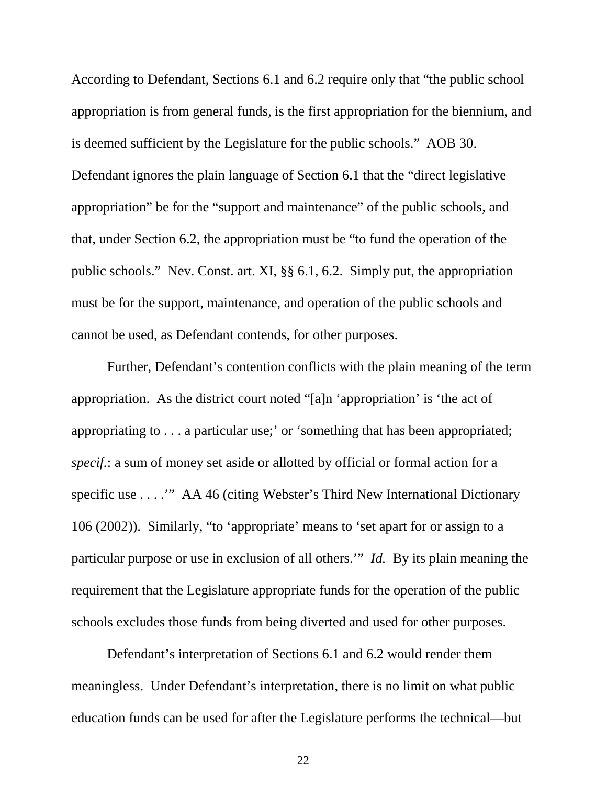According to Defendant, Sections 6.1 and 6.2 require only that "the public school appropriation is from general funds, is the first appropriation for the biennium, and is deemed sufficient by the Legislature for the public schools." AOB 30. Defendant ignores the plain language of Section 6.1 that the "direct legislative appropriation" be for the "support and maintenance" of the public schools, and that, under Section 6.2, the appropriation must be "to fund the operation of the public schools." Nev. Const. art. XI, §§ 6.1, 6.2. Simply put, the appropriation must be for the support, maintenance, and operation of the public schools and cannot be used, as Defendant contends, for other purposes.

Further, Defendant's contention conflicts with the plain meaning of the term appropriation. As the district court noted "[a]n 'appropriation' is 'the act of appropriating to . . . a particular use;' or 'something that has been appropriated; *specif.*: a sum of money set aside or allotted by official or formal action for a specific use . . . .'" AA 46 (citing Webster's Third New International Dictionary 106 (2002)). Similarly, "to 'appropriate' means to 'set apart for or assign to a particular purpose or use in exclusion of all others.'" *Id.* By its plain meaning the requirement that the Legislature appropriate funds for the operation of the public schools excludes those funds from being diverted and used for other purposes.

Defendant's interpretation of Sections 6.1 and 6.2 would render them meaningless. Under Defendant's interpretation, there is no limit on what public education funds can be used for after the Legislature performs the technical—but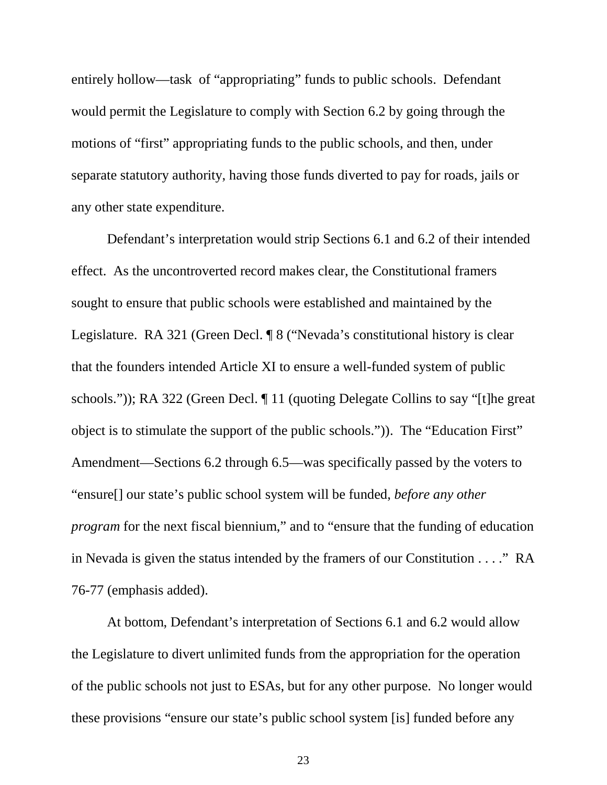entirely hollow—task of "appropriating" funds to public schools. Defendant would permit the Legislature to comply with Section 6.2 by going through the motions of "first" appropriating funds to the public schools, and then, under separate statutory authority, having those funds diverted to pay for roads, jails or any other state expenditure.

Defendant's interpretation would strip Sections 6.1 and 6.2 of their intended effect. As the uncontroverted record makes clear, the Constitutional framers sought to ensure that public schools were established and maintained by the Legislature. RA 321 (Green Decl. ¶ 8 ("Nevada's constitutional history is clear that the founders intended Article XI to ensure a well-funded system of public schools.")); RA 322 (Green Decl. ¶ 11 (quoting Delegate Collins to say "[t]he great object is to stimulate the support of the public schools.")). The "Education First" Amendment—Sections 6.2 through 6.5—was specifically passed by the voters to "ensure[] our state's public school system will be funded, *before any other program* for the next fiscal biennium," and to "ensure that the funding of education" in Nevada is given the status intended by the framers of our Constitution . . . ." RA 76-77 (emphasis added).

At bottom, Defendant's interpretation of Sections 6.1 and 6.2 would allow the Legislature to divert unlimited funds from the appropriation for the operation of the public schools not just to ESAs, but for any other purpose. No longer would these provisions "ensure our state's public school system [is] funded before any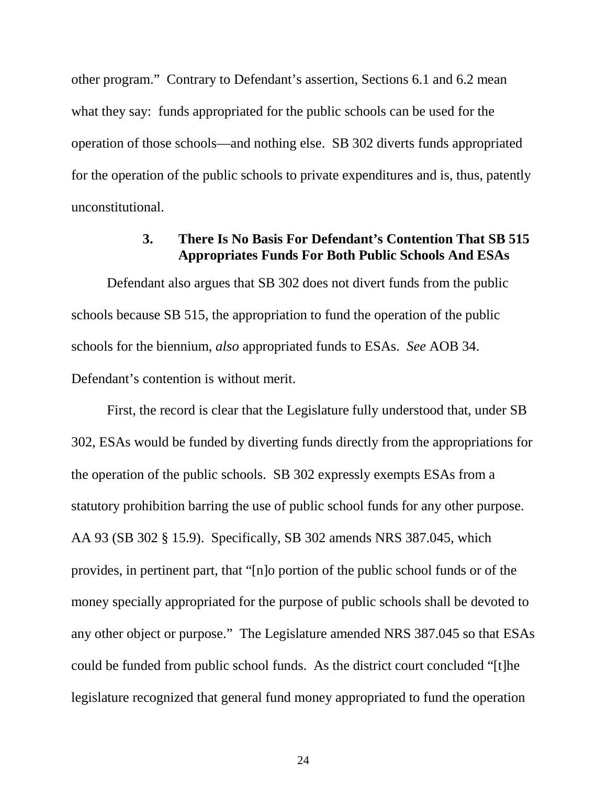other program." Contrary to Defendant's assertion, Sections 6.1 and 6.2 mean what they say: funds appropriated for the public schools can be used for the operation of those schools—and nothing else. SB 302 diverts funds appropriated for the operation of the public schools to private expenditures and is, thus, patently unconstitutional.

#### **3. There Is No Basis For Defendant's Contention That SB 515 Appropriates Funds For Both Public Schools And ESAs**

Defendant also argues that SB 302 does not divert funds from the public schools because SB 515, the appropriation to fund the operation of the public schools for the biennium, *also* appropriated funds to ESAs. *See* AOB 34. Defendant's contention is without merit.

First, the record is clear that the Legislature fully understood that, under SB 302, ESAs would be funded by diverting funds directly from the appropriations for the operation of the public schools. SB 302 expressly exempts ESAs from a statutory prohibition barring the use of public school funds for any other purpose. AA 93 (SB 302 § 15.9). Specifically, SB 302 amends NRS 387.045, which provides, in pertinent part, that "[n]o portion of the public school funds or of the money specially appropriated for the purpose of public schools shall be devoted to any other object or purpose." The Legislature amended NRS 387.045 so that ESAs could be funded from public school funds. As the district court concluded "[t]he legislature recognized that general fund money appropriated to fund the operation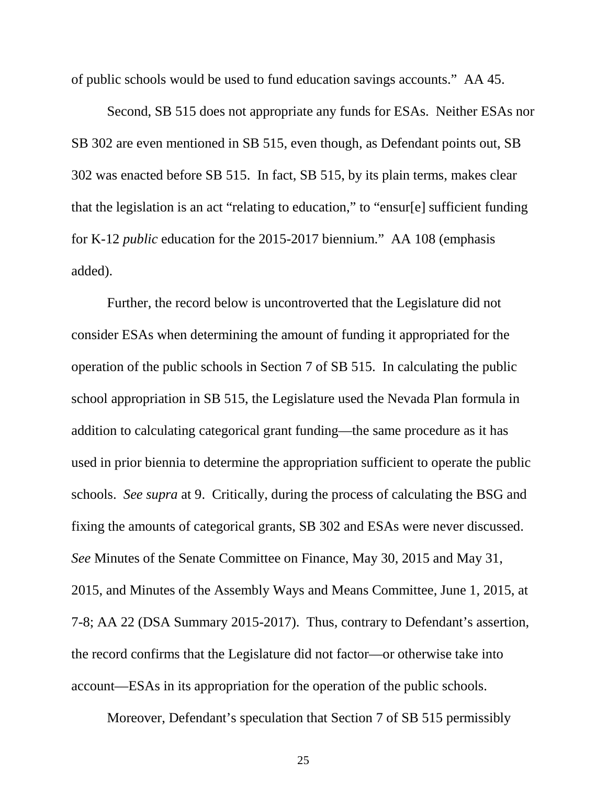of public schools would be used to fund education savings accounts." AA 45.

Second, SB 515 does not appropriate any funds for ESAs. Neither ESAs nor SB 302 are even mentioned in SB 515, even though, as Defendant points out, SB 302 was enacted before SB 515. In fact, SB 515, by its plain terms, makes clear that the legislation is an act "relating to education," to "ensur[e] sufficient funding for K-12 *public* education for the 2015-2017 biennium." AA 108 (emphasis added).

Further, the record below is uncontroverted that the Legislature did not consider ESAs when determining the amount of funding it appropriated for the operation of the public schools in Section 7 of SB 515. In calculating the public school appropriation in SB 515, the Legislature used the Nevada Plan formula in addition to calculating categorical grant funding—the same procedure as it has used in prior biennia to determine the appropriation sufficient to operate the public schools. *See supra* at 9. Critically, during the process of calculating the BSG and fixing the amounts of categorical grants, SB 302 and ESAs were never discussed. *See* Minutes of the Senate Committee on Finance, May 30, 2015 and May 31, 2015, and Minutes of the Assembly Ways and Means Committee, June 1, 2015, at 7-8; AA 22 (DSA Summary 2015-2017). Thus, contrary to Defendant's assertion, the record confirms that the Legislature did not factor—or otherwise take into account—ESAs in its appropriation for the operation of the public schools.

Moreover, Defendant's speculation that Section 7 of SB 515 permissibly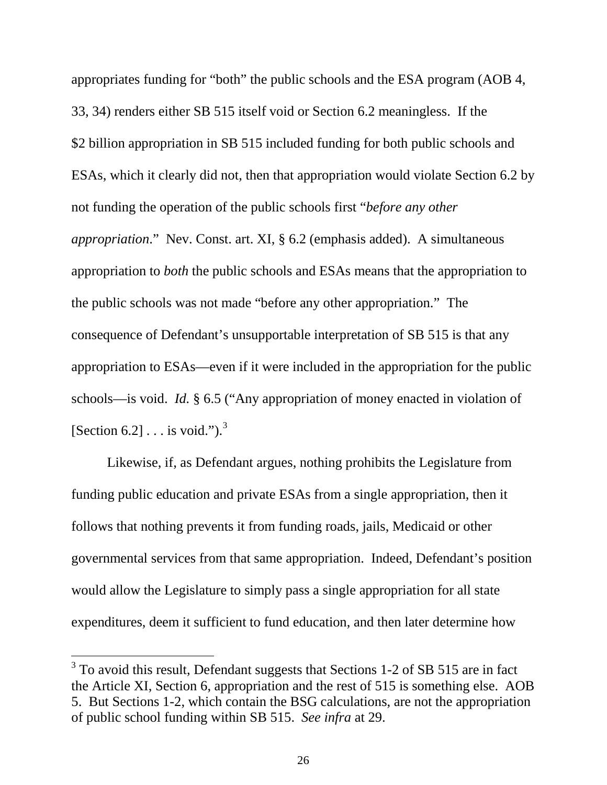appropriates funding for "both" the public schools and the ESA program (AOB 4, 33, 34) renders either SB 515 itself void or Section 6.2 meaningless. If the \$2 billion appropriation in SB 515 included funding for both public schools and ESAs, which it clearly did not, then that appropriation would violate Section 6.2 by not funding the operation of the public schools first "*before any other appropriation*." Nev. Const. art. XI, § 6.2 (emphasis added). A simultaneous appropriation to *both* the public schools and ESAs means that the appropriation to the public schools was not made "before any other appropriation." The consequence of Defendant's unsupportable interpretation of SB 515 is that any appropriation to ESAs—even if it were included in the appropriation for the public schools—is void. *Id.* § 6.5 ("Any appropriation of money enacted in violation of [Section 6.2]  $\ldots$  is void.").<sup>[3](#page-20-0)</sup>

Likewise, if, as Defendant argues, nothing prohibits the Legislature from funding public education and private ESAs from a single appropriation, then it follows that nothing prevents it from funding roads, jails, Medicaid or other governmental services from that same appropriation. Indeed, Defendant's position would allow the Legislature to simply pass a single appropriation for all state expenditures, deem it sufficient to fund education, and then later determine how

<span id="page-32-0"></span><sup>&</sup>lt;sup>3</sup> To avoid this result, Defendant suggests that Sections 1-2 of SB 515 are in fact the Article XI, Section 6, appropriation and the rest of 515 is something else. AOB 5. But Sections 1-2, which contain the BSG calculations, are not the appropriation of public school funding within SB 515. *See infra* at 29.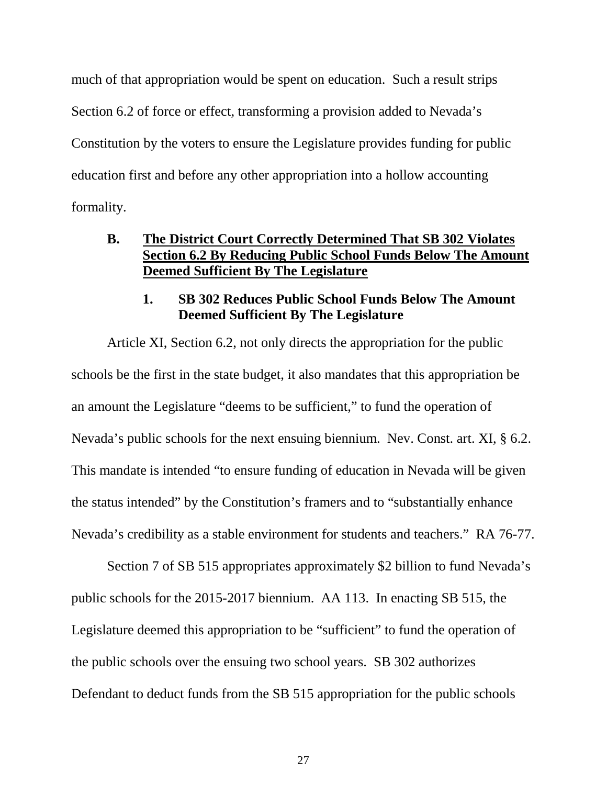much of that appropriation would be spent on education. Such a result strips Section 6.2 of force or effect, transforming a provision added to Nevada's Constitution by the voters to ensure the Legislature provides funding for public education first and before any other appropriation into a hollow accounting formality.

### **B. The District Court Correctly Determined That SB 302 Violates Section 6.2 By Reducing Public School Funds Below The Amount Deemed Sufficient By The Legislature**

### **1. SB 302 Reduces Public School Funds Below The Amount Deemed Sufficient By The Legislature**

Article XI, Section 6.2, not only directs the appropriation for the public schools be the first in the state budget, it also mandates that this appropriation be an amount the Legislature "deems to be sufficient," to fund the operation of Nevada's public schools for the next ensuing biennium. Nev. Const. art. XI, § 6.2. This mandate is intended "to ensure funding of education in Nevada will be given the status intended" by the Constitution's framers and to "substantially enhance Nevada's credibility as a stable environment for students and teachers." RA 76-77.

Section 7 of SB 515 appropriates approximately \$2 billion to fund Nevada's public schools for the 2015-2017 biennium. AA 113. In enacting SB 515, the Legislature deemed this appropriation to be "sufficient" to fund the operation of the public schools over the ensuing two school years. SB 302 authorizes Defendant to deduct funds from the SB 515 appropriation for the public schools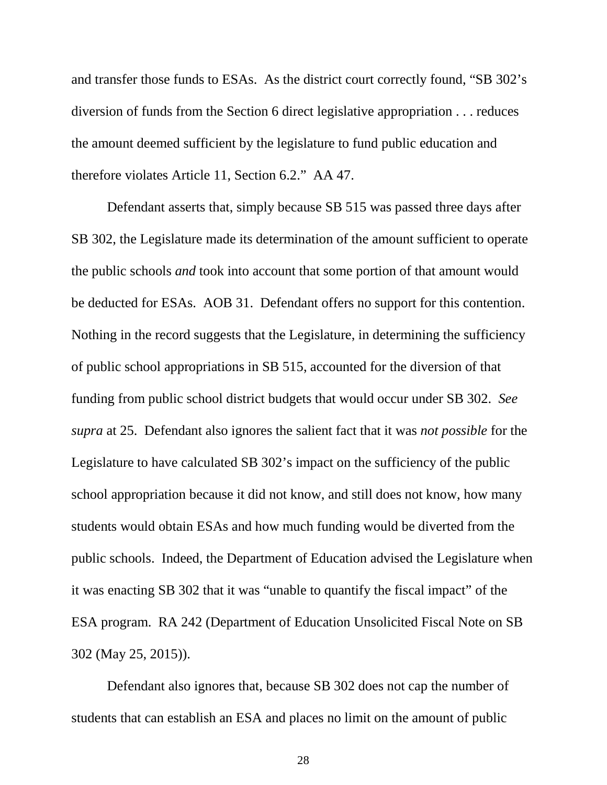and transfer those funds to ESAs. As the district court correctly found, "SB 302's diversion of funds from the Section 6 direct legislative appropriation . . . reduces the amount deemed sufficient by the legislature to fund public education and therefore violates Article 11, Section 6.2." AA 47.

Defendant asserts that, simply because SB 515 was passed three days after SB 302, the Legislature made its determination of the amount sufficient to operate the public schools *and* took into account that some portion of that amount would be deducted for ESAs. AOB 31. Defendant offers no support for this contention. Nothing in the record suggests that the Legislature, in determining the sufficiency of public school appropriations in SB 515, accounted for the diversion of that funding from public school district budgets that would occur under SB 302. *See supra* at 25. Defendant also ignores the salient fact that it was *not possible* for the Legislature to have calculated SB 302's impact on the sufficiency of the public school appropriation because it did not know, and still does not know, how many students would obtain ESAs and how much funding would be diverted from the public schools. Indeed, the Department of Education advised the Legislature when it was enacting SB 302 that it was "unable to quantify the fiscal impact" of the ESA program. RA 242 (Department of Education Unsolicited Fiscal Note on SB 302 (May 25, 2015)).

Defendant also ignores that, because SB 302 does not cap the number of students that can establish an ESA and places no limit on the amount of public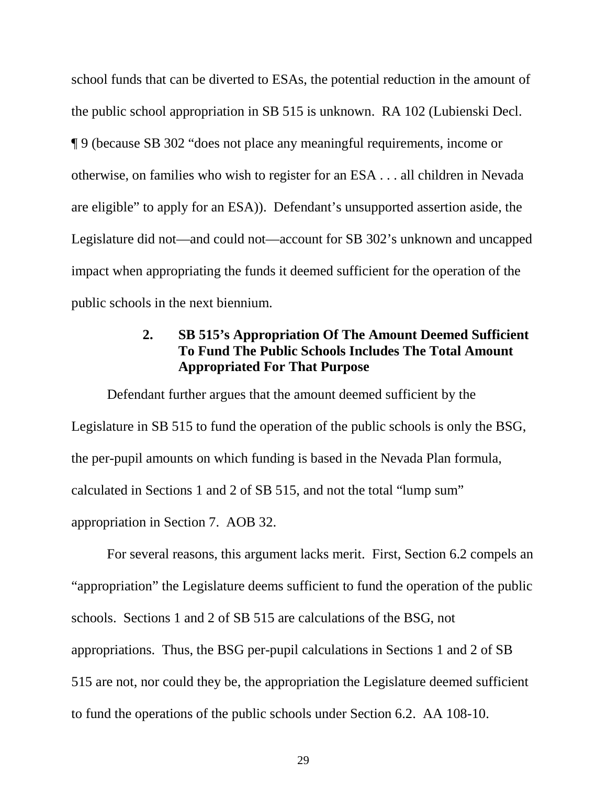school funds that can be diverted to ESAs, the potential reduction in the amount of the public school appropriation in SB 515 is unknown. RA 102 (Lubienski Decl. ¶ 9 (because SB 302 "does not place any meaningful requirements, income or otherwise, on families who wish to register for an ESA . . . all children in Nevada are eligible" to apply for an ESA)). Defendant's unsupported assertion aside, the Legislature did not—and could not—account for SB 302's unknown and uncapped impact when appropriating the funds it deemed sufficient for the operation of the public schools in the next biennium.

### **2. SB 515's Appropriation Of The Amount Deemed Sufficient To Fund The Public Schools Includes The Total Amount Appropriated For That Purpose**

Defendant further argues that the amount deemed sufficient by the Legislature in SB 515 to fund the operation of the public schools is only the BSG, the per-pupil amounts on which funding is based in the Nevada Plan formula, calculated in Sections 1 and 2 of SB 515, and not the total "lump sum" appropriation in Section 7. AOB 32.

For several reasons, this argument lacks merit. First, Section 6.2 compels an "appropriation" the Legislature deems sufficient to fund the operation of the public schools. Sections 1 and 2 of SB 515 are calculations of the BSG, not appropriations. Thus, the BSG per-pupil calculations in Sections 1 and 2 of SB 515 are not, nor could they be, the appropriation the Legislature deemed sufficient to fund the operations of the public schools under Section 6.2. AA 108-10.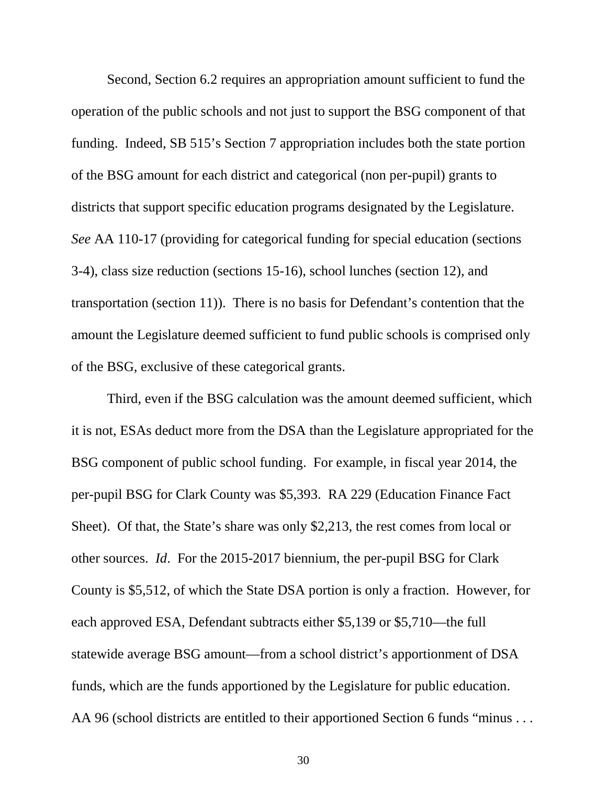Second, Section 6.2 requires an appropriation amount sufficient to fund the operation of the public schools and not just to support the BSG component of that funding. Indeed, SB 515's Section 7 appropriation includes both the state portion of the BSG amount for each district and categorical (non per-pupil) grants to districts that support specific education programs designated by the Legislature. *See* AA 110-17 (providing for categorical funding for special education (sections 3-4), class size reduction (sections 15-16), school lunches (section 12), and transportation (section 11)). There is no basis for Defendant's contention that the amount the Legislature deemed sufficient to fund public schools is comprised only of the BSG, exclusive of these categorical grants.

Third, even if the BSG calculation was the amount deemed sufficient, which it is not, ESAs deduct more from the DSA than the Legislature appropriated for the BSG component of public school funding. For example, in fiscal year 2014, the per-pupil BSG for Clark County was \$5,393. RA 229 (Education Finance Fact Sheet). Of that, the State's share was only \$2,213, the rest comes from local or other sources. *Id*. For the 2015-2017 biennium, the per-pupil BSG for Clark County is \$5,512, of which the State DSA portion is only a fraction. However, for each approved ESA, Defendant subtracts either \$5,139 or \$5,710—the full statewide average BSG amount—from a school district's apportionment of DSA funds, which are the funds apportioned by the Legislature for public education. AA 96 (school districts are entitled to their apportioned Section 6 funds "minus . . .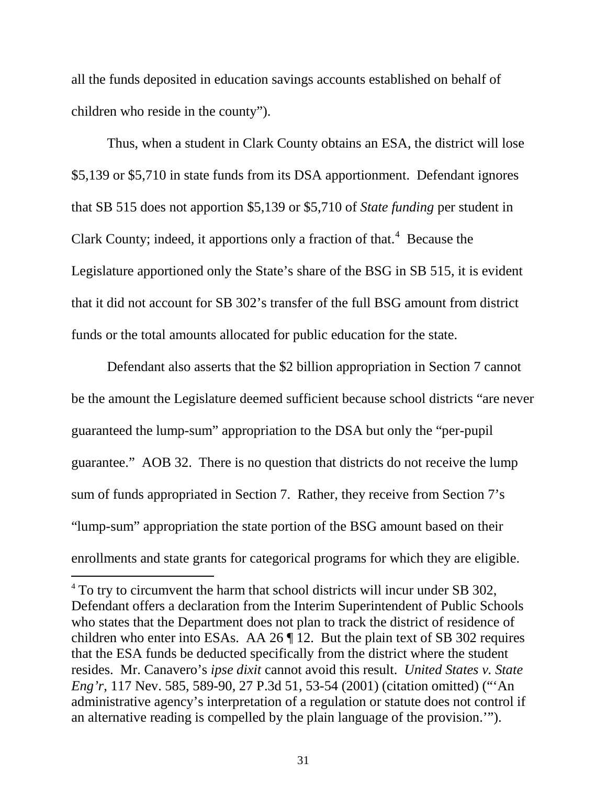all the funds deposited in education savings accounts established on behalf of children who reside in the county").

Thus, when a student in Clark County obtains an ESA, the district will lose \$5,139 or \$5,710 in state funds from its DSA apportionment. Defendant ignores that SB 515 does not apportion \$5,139 or \$5,710 of *State funding* per student in Clark County; indeed, it apportions only a fraction of that.<sup>[4](#page-32-0)</sup> Because the Legislature apportioned only the State's share of the BSG in SB 515, it is evident that it did not account for SB 302's transfer of the full BSG amount from district funds or the total amounts allocated for public education for the state.

Defendant also asserts that the \$2 billion appropriation in Section 7 cannot be the amount the Legislature deemed sufficient because school districts "are never guaranteed the lump-sum" appropriation to the DSA but only the "per-pupil guarantee." AOB 32.There is no question that districts do not receive the lump sum of funds appropriated in Section 7. Rather, they receive from Section 7's "lump-sum" appropriation the state portion of the BSG amount based on their enrollments and state grants for categorical programs for which they are eligible.

<span id="page-37-0"></span><sup>&</sup>lt;sup>4</sup> To try to circumvent the harm that school districts will incur under SB 302, Defendant offers a declaration from the Interim Superintendent of Public Schools who states that the Department does not plan to track the district of residence of children who enter into ESAs. AA 26 ¶ 12. But the plain text of SB 302 requires that the ESA funds be deducted specifically from the district where the student resides. Mr. Canavero's *ipse dixit* cannot avoid this result. *United States v. State Eng'r*, 117 Nev. 585, 589-90, 27 P.3d 51, 53-54 (2001) (citation omitted) ("'An administrative agency's interpretation of a regulation or statute does not control if an alternative reading is compelled by the plain language of the provision.'").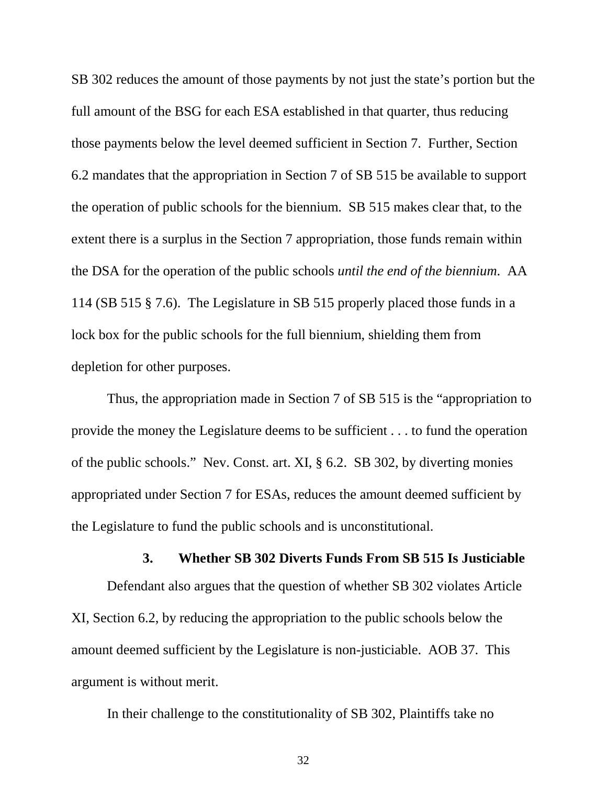SB 302 reduces the amount of those payments by not just the state's portion but the full amount of the BSG for each ESA established in that quarter, thus reducing those payments below the level deemed sufficient in Section 7. Further, Section 6.2 mandates that the appropriation in Section 7 of SB 515 be available to support the operation of public schools for the biennium. SB 515 makes clear that, to the extent there is a surplus in the Section 7 appropriation, those funds remain within the DSA for the operation of the public schools *until the end of the biennium*. AA 114 (SB 515 § 7.6). The Legislature in SB 515 properly placed those funds in a lock box for the public schools for the full biennium, shielding them from depletion for other purposes.

Thus, the appropriation made in Section 7 of SB 515 is the "appropriation to provide the money the Legislature deems to be sufficient . . . to fund the operation of the public schools." Nev. Const. art. XI, § 6.2. SB 302, by diverting monies appropriated under Section 7 for ESAs, reduces the amount deemed sufficient by the Legislature to fund the public schools and is unconstitutional.

#### **3. Whether SB 302 Diverts Funds From SB 515 Is Justiciable**

Defendant also argues that the question of whether SB 302 violates Article XI, Section 6.2, by reducing the appropriation to the public schools below the amount deemed sufficient by the Legislature is non-justiciable. AOB 37. This argument is without merit.

In their challenge to the constitutionality of SB 302, Plaintiffs take no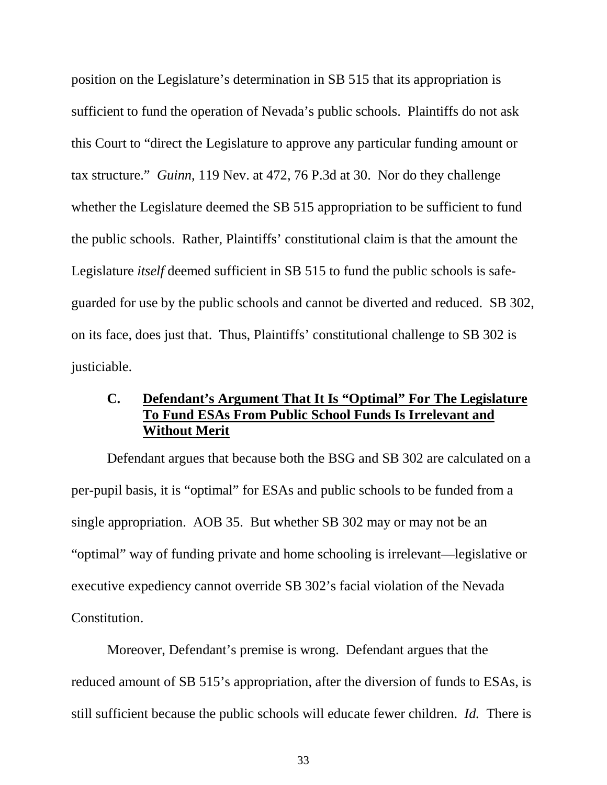position on the Legislature's determination in SB 515 that its appropriation is sufficient to fund the operation of Nevada's public schools. Plaintiffs do not ask this Court to "direct the Legislature to approve any particular funding amount or tax structure." *Guinn*, 119 Nev. at 472, 76 P.3d at 30. Nor do they challenge whether the Legislature deemed the SB 515 appropriation to be sufficient to fund the public schools. Rather, Plaintiffs' constitutional claim is that the amount the Legislature *itself* deemed sufficient in SB 515 to fund the public schools is safeguarded for use by the public schools and cannot be diverted and reduced. SB 302, on its face, does just that. Thus, Plaintiffs' constitutional challenge to SB 302 is justiciable.

### **C. Defendant's Argument That It Is "Optimal" For The Legislature To Fund ESAs From Public School Funds Is Irrelevant and Without Merit**

Defendant argues that because both the BSG and SB 302 are calculated on a per-pupil basis, it is "optimal" for ESAs and public schools to be funded from a single appropriation. AOB 35. But whether SB 302 may or may not be an "optimal" way of funding private and home schooling is irrelevant—legislative or executive expediency cannot override SB 302's facial violation of the Nevada Constitution.

Moreover, Defendant's premise is wrong. Defendant argues that the reduced amount of SB 515's appropriation, after the diversion of funds to ESAs, is still sufficient because the public schools will educate fewer children. *Id.* There is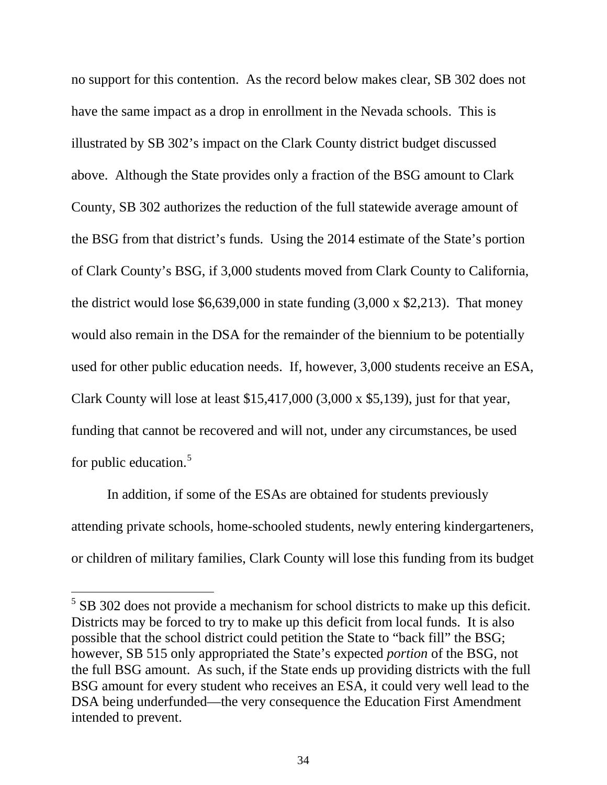no support for this contention. As the record below makes clear, SB 302 does not have the same impact as a drop in enrollment in the Nevada schools. This is illustrated by SB 302's impact on the Clark County district budget discussed above. Although the State provides only a fraction of the BSG amount to Clark County, SB 302 authorizes the reduction of the full statewide average amount of the BSG from that district's funds. Using the 2014 estimate of the State's portion of Clark County's BSG, if 3,000 students moved from Clark County to California, the district would lose  $$6,639,000$  in state funding  $(3,000 \times $2,213)$ . That money would also remain in the DSA for the remainder of the biennium to be potentially used for other public education needs. If, however, 3,000 students receive an ESA, Clark County will lose at least \$15,417,000 (3,000 x \$5,139), just for that year, funding that cannot be recovered and will not, under any circumstances, be used for public education.<sup>[5](#page-37-0)</sup>

In addition, if some of the ESAs are obtained for students previously attending private schools, home-schooled students, newly entering kindergarteners, or children of military families, Clark County will lose this funding from its budget

<span id="page-40-0"></span> $<sup>5</sup>$  SB 302 does not provide a mechanism for school districts to make up this deficit.</sup> Districts may be forced to try to make up this deficit from local funds. It is also possible that the school district could petition the State to "back fill" the BSG; however, SB 515 only appropriated the State's expected *portion* of the BSG, not the full BSG amount. As such, if the State ends up providing districts with the full BSG amount for every student who receives an ESA, it could very well lead to the DSA being underfunded—the very consequence the Education First Amendment intended to prevent.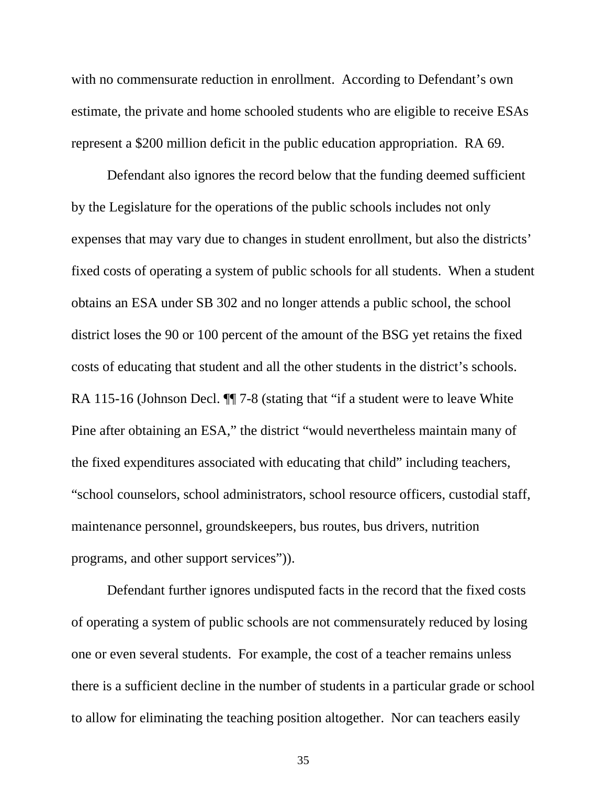with no commensurate reduction in enrollment. According to Defendant's own estimate, the private and home schooled students who are eligible to receive ESAs represent a \$200 million deficit in the public education appropriation. RA 69.

Defendant also ignores the record below that the funding deemed sufficient by the Legislature for the operations of the public schools includes not only expenses that may vary due to changes in student enrollment, but also the districts' fixed costs of operating a system of public schools for all students. When a student obtains an ESA under SB 302 and no longer attends a public school, the school district loses the 90 or 100 percent of the amount of the BSG yet retains the fixed costs of educating that student and all the other students in the district's schools. RA 115-16 (Johnson Decl.  $\P$  7-8 (stating that "if a student were to leave White Pine after obtaining an ESA," the district "would nevertheless maintain many of the fixed expenditures associated with educating that child" including teachers, "school counselors, school administrators, school resource officers, custodial staff, maintenance personnel, groundskeepers, bus routes, bus drivers, nutrition programs, and other support services")).

Defendant further ignores undisputed facts in the record that the fixed costs of operating a system of public schools are not commensurately reduced by losing one or even several students. For example, the cost of a teacher remains unless there is a sufficient decline in the number of students in a particular grade or school to allow for eliminating the teaching position altogether. Nor can teachers easily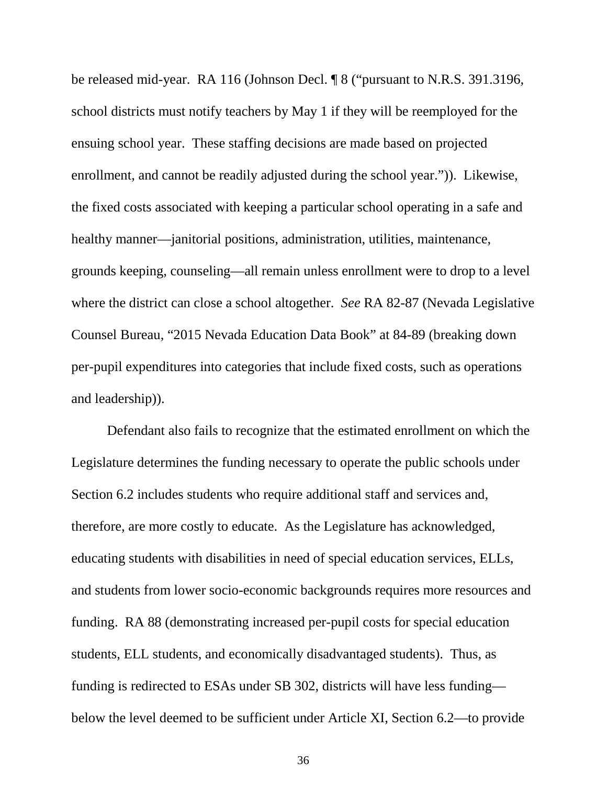be released mid-year. RA 116 (Johnson Decl. ¶ 8 ("pursuant to N.R.S. 391.3196, school districts must notify teachers by May 1 if they will be reemployed for the ensuing school year. These staffing decisions are made based on projected enrollment, and cannot be readily adjusted during the school year.")). Likewise, the fixed costs associated with keeping a particular school operating in a safe and healthy manner—janitorial positions, administration, utilities, maintenance, grounds keeping, counseling—all remain unless enrollment were to drop to a level where the district can close a school altogether. *See* RA 82-87 (Nevada Legislative Counsel Bureau, "2015 Nevada Education Data Book" at 84-89 (breaking down per-pupil expenditures into categories that include fixed costs, such as operations and leadership)).

Defendant also fails to recognize that the estimated enrollment on which the Legislature determines the funding necessary to operate the public schools under Section 6.2 includes students who require additional staff and services and, therefore, are more costly to educate. As the Legislature has acknowledged, educating students with disabilities in need of special education services, ELLs, and students from lower socio-economic backgrounds requires more resources and funding. RA 88 (demonstrating increased per-pupil costs for special education students, ELL students, and economically disadvantaged students). Thus, as funding is redirected to ESAs under SB 302, districts will have less funding below the level deemed to be sufficient under Article XI, Section 6.2—to provide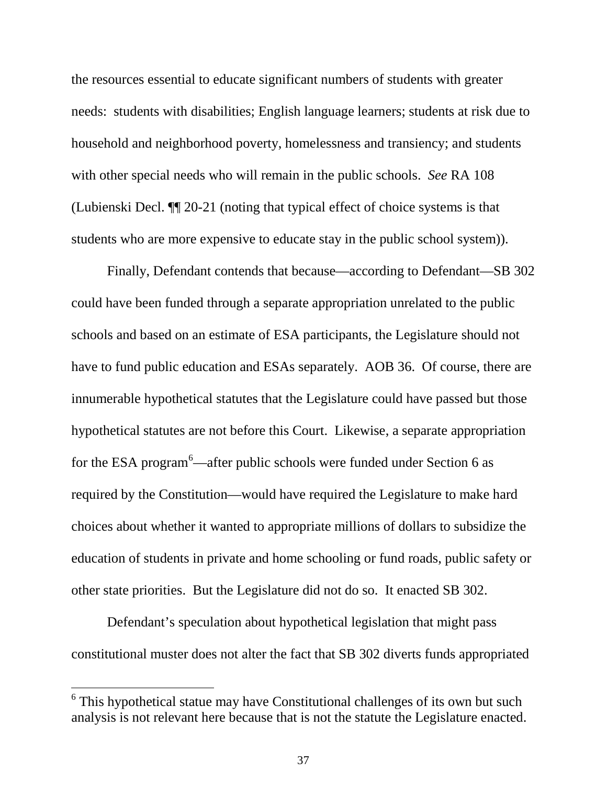the resources essential to educate significant numbers of students with greater needs: students with disabilities; English language learners; students at risk due to household and neighborhood poverty, homelessness and transiency; and students with other special needs who will remain in the public schools. *See* RA 108 (Lubienski Decl. ¶¶ 20-21 (noting that typical effect of choice systems is that students who are more expensive to educate stay in the public school system)).

Finally, Defendant contends that because—according to Defendant—SB 302 could have been funded through a separate appropriation unrelated to the public schools and based on an estimate of ESA participants, the Legislature should not have to fund public education and ESAs separately. AOB 36. Of course, there are innumerable hypothetical statutes that the Legislature could have passed but those hypothetical statutes are not before this Court. Likewise, a separate appropriation for the ESA program<sup>[6](#page-40-0)</sup>—after public schools were funded under Section 6 as required by the Constitution—would have required the Legislature to make hard choices about whether it wanted to appropriate millions of dollars to subsidize the education of students in private and home schooling or fund roads, public safety or other state priorities. But the Legislature did not do so. It enacted SB 302.

Defendant's speculation about hypothetical legislation that might pass constitutional muster does not alter the fact that SB 302 diverts funds appropriated

<span id="page-43-0"></span> $6$  This hypothetical statue may have Constitutional challenges of its own but such analysis is not relevant here because that is not the statute the Legislature enacted.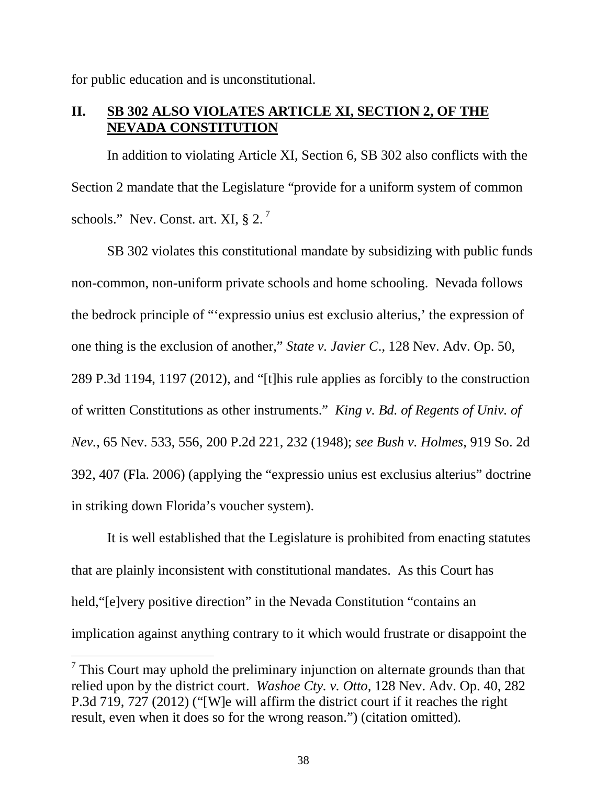for public education and is unconstitutional.

### **II. SB 302 ALSO VIOLATES ARTICLE XI, SECTION 2, OF THE NEVADA CONSTITUTION**

In addition to violating Article XI, Section 6, SB 302 also conflicts with the Section 2 mandate that the Legislature "provide for a uniform system of common schools." Nev. Const. art. XI,  $\S 2$ .<sup>[7](#page-43-0)</sup>

SB 302 violates this constitutional mandate by subsidizing with public funds non-common, non-uniform private schools and home schooling. Nevada follows the bedrock principle of "'expressio unius est exclusio alterius,' the expression of one thing is the exclusion of another," *State v. Javier C*., 128 Nev. Adv. Op. 50, 289 P.3d 1194, 1197 (2012), and "[t]his rule applies as forcibly to the construction of written Constitutions as other instruments." *King v. Bd. of Regents of Univ. of Nev.*, 65 Nev. 533, 556, 200 P.2d 221, 232 (1948); *see Bush v. Holmes*, 919 So. 2d 392, 407 (Fla. 2006) (applying the "expressio unius est exclusius alterius" doctrine in striking down Florida's voucher system).

It is well established that the Legislature is prohibited from enacting statutes that are plainly inconsistent with constitutional mandates. As this Court has held,"[e]very positive direction" in the Nevada Constitution "contains an implication against anything contrary to it which would frustrate or disappoint the

<span id="page-44-0"></span> $<sup>7</sup>$  This Court may uphold the preliminary injunction on alternate grounds than that</sup> relied upon by the district court. *Washoe Cty. v. Otto,* 128 Nev. Adv. Op. 40, 282 P.3d 719, 727 (2012) ("[W]e will affirm the district court if it reaches the right result, even when it does so for the wrong reason.") (citation omitted)*.*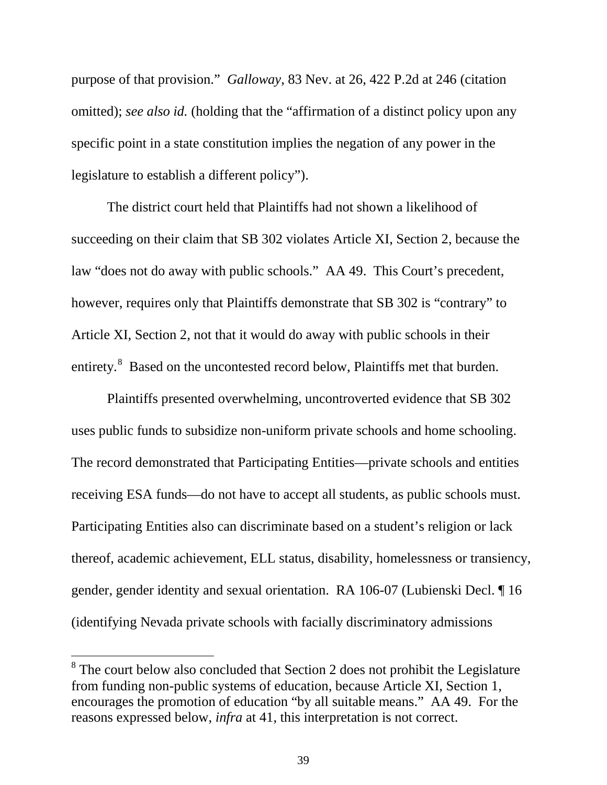purpose of that provision." *Galloway*, 83 Nev. at 26, 422 P.2d at 246 (citation omitted); *see also id.* (holding that the "affirmation of a distinct policy upon any specific point in a state constitution implies the negation of any power in the legislature to establish a different policy").

The district court held that Plaintiffs had not shown a likelihood of succeeding on their claim that SB 302 violates Article XI, Section 2, because the law "does not do away with public schools." AA 49. This Court's precedent, however, requires only that Plaintiffs demonstrate that SB 302 is "contrary" to Article XI, Section 2, not that it would do away with public schools in their entirety.<sup>[8](#page-44-0)</sup> Based on the uncontested record below, Plaintiffs met that burden.

<span id="page-45-0"></span>Plaintiffs presented overwhelming, uncontroverted evidence that SB 302 uses public funds to subsidize non-uniform private schools and home schooling. The record demonstrated that Participating Entities—private schools and entities receiving ESA funds—do not have to accept all students, as public schools must. Participating Entities also can discriminate based on a student's religion or lack thereof, academic achievement, ELL status, disability, homelessness or transiency, gender, gender identity and sexual orientation. RA 106-07 (Lubienski Decl. ¶ 16 (identifying Nevada private schools with facially discriminatory admissions

<sup>&</sup>lt;sup>8</sup> The court below also concluded that Section 2 does not prohibit the Legislature from funding non-public systems of education, because Article XI, Section 1, encourages the promotion of education "by all suitable means." AA 49. For the reasons expressed below, *infra* at 41, this interpretation is not correct.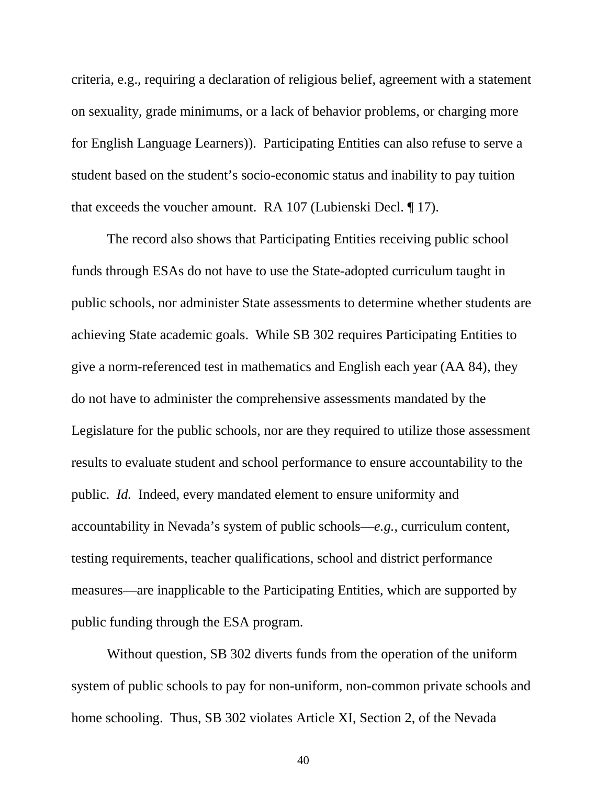criteria, e.g., requiring a declaration of religious belief, agreement with a statement on sexuality, grade minimums, or a lack of behavior problems, or charging more for English Language Learners)). Participating Entities can also refuse to serve a student based on the student's socio-economic status and inability to pay tuition that exceeds the voucher amount. RA 107 (Lubienski Decl. ¶ 17).

The record also shows that Participating Entities receiving public school funds through ESAs do not have to use the State-adopted curriculum taught in public schools, nor administer State assessments to determine whether students are achieving State academic goals. While SB 302 requires Participating Entities to give a norm-referenced test in mathematics and English each year (AA 84), they do not have to administer the comprehensive assessments mandated by the Legislature for the public schools, nor are they required to utilize those assessment results to evaluate student and school performance to ensure accountability to the public. *Id.* Indeed, every mandated element to ensure uniformity and accountability in Nevada's system of public schools—*e.g.*, curriculum content, testing requirements, teacher qualifications, school and district performance measures—are inapplicable to the Participating Entities, which are supported by public funding through the ESA program.

Without question, SB 302 diverts funds from the operation of the uniform system of public schools to pay for non-uniform, non-common private schools and home schooling. Thus, SB 302 violates Article XI, Section 2, of the Nevada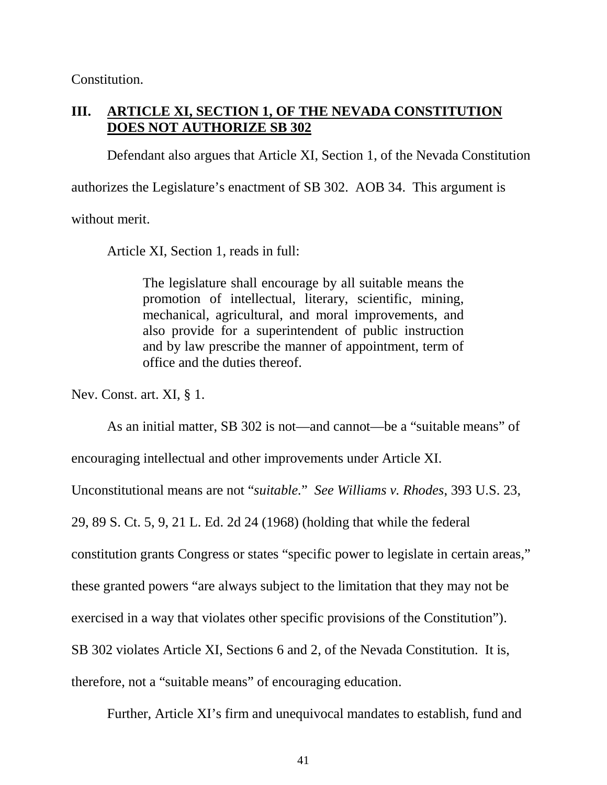Constitution.

### **III. ARTICLE XI, SECTION 1, OF THE NEVADA CONSTITUTION DOES NOT AUTHORIZE SB 302**

Defendant also argues that Article XI, Section 1, of the Nevada Constitution

authorizes the Legislature's enactment of SB 302. AOB 34. This argument is

without merit.

Article XI, Section 1, reads in full:

The legislature shall encourage by all suitable means the promotion of intellectual, literary, scientific, mining, mechanical, agricultural, and moral improvements, and also provide for a superintendent of public instruction and by law prescribe the manner of appointment, term of office and the duties thereof.

Nev. Const. art. XI, § 1.

As an initial matter, SB 302 is not—and cannot—be a "suitable means" of

encouraging intellectual and other improvements under Article XI.

Unconstitutional means are not "*suitable.*" *See Williams v. Rhodes*, 393 U.S. 23,

29, 89 S. Ct. 5, 9, 21 L. Ed. 2d 24 (1968) (holding that while the federal

constitution grants Congress or states "specific power to legislate in certain areas,"

these granted powers "are always subject to the limitation that they may not be

exercised in a way that violates other specific provisions of the Constitution").

SB 302 violates Article XI, Sections 6 and 2, of the Nevada Constitution. It is,

therefore, not a "suitable means" of encouraging education.

Further, Article XI's firm and unequivocal mandates to establish, fund and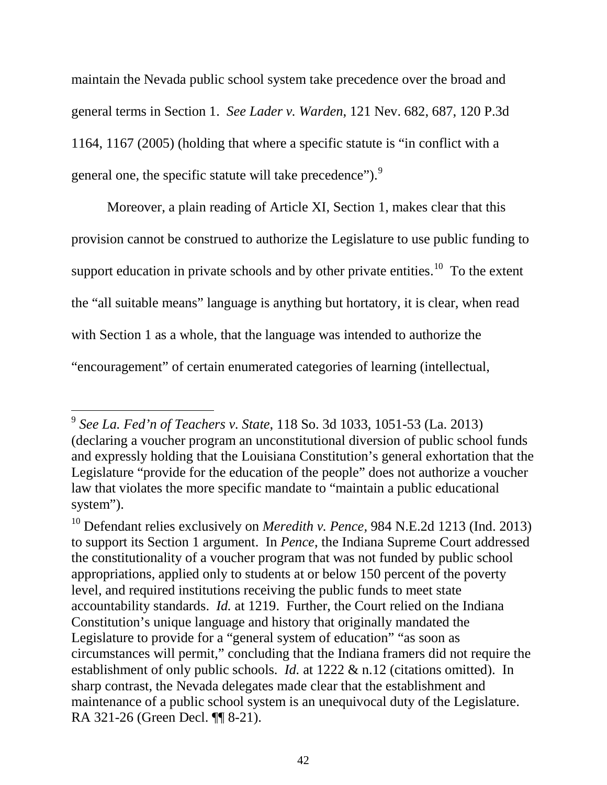maintain the Nevada public school system take precedence over the broad and general terms in Section 1. *See Lader v. Warden*, 121 Nev. 682, 687, 120 P.3d 1164, 1167 (2005) (holding that where a specific statute is "in conflict with a general one, the specific statute will take precedence").<sup>[9](#page-45-0)</sup>

Moreover, a plain reading of Article XI, Section 1, makes clear that this provision cannot be construed to authorize the Legislature to use public funding to support education in private schools and by other private entities.<sup>[10](#page-48-0)</sup> To the extent the "all suitable means" language is anything but hortatory, it is clear, when read with Section 1 as a whole, that the language was intended to authorize the "encouragement" of certain enumerated categories of learning (intellectual,

 <sup>9</sup> *See La. Fed'n of Teachers v. State*, 118 So. 3d 1033, 1051-53 (La. 2013) (declaring a voucher program an unconstitutional diversion of public school funds and expressly holding that the Louisiana Constitution's general exhortation that the Legislature "provide for the education of the people" does not authorize a voucher law that violates the more specific mandate to "maintain a public educational system").

<span id="page-48-1"></span><span id="page-48-0"></span><sup>10</sup> Defendant relies exclusively on *Meredith v. Pence,* 984 N.E.2d 1213 (Ind. 2013) to support its Section 1 argument. In *Pence*, the Indiana Supreme Court addressed the constitutionality of a voucher program that was not funded by public school appropriations, applied only to students at or below 150 percent of the poverty level, and required institutions receiving the public funds to meet state accountability standards. *Id.* at 1219. Further, the Court relied on the Indiana Constitution's unique language and history that originally mandated the Legislature to provide for a "general system of education" "as soon as circumstances will permit," concluding that the Indiana framers did not require the establishment of only public schools. *Id.* at 1222 & n.12 (citations omitted). In sharp contrast, the Nevada delegates made clear that the establishment and maintenance of a public school system is an unequivocal duty of the Legislature. RA 321-26 (Green Decl. ¶¶ 8-21).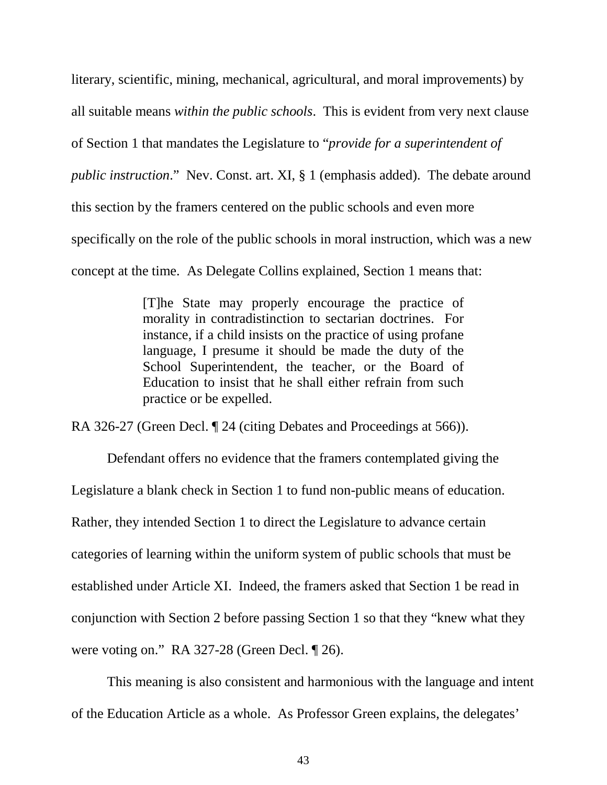literary, scientific, mining, mechanical, agricultural, and moral improvements) by all suitable means *within the public schools*. This is evident from very next clause of Section 1 that mandates the Legislature to "*provide for a superintendent of public instruction*." Nev. Const. art. XI, § 1 (emphasis added). The debate around this section by the framers centered on the public schools and even more specifically on the role of the public schools in moral instruction, which was a new concept at the time. As Delegate Collins explained, Section 1 means that:

> [T]he State may properly encourage the practice of morality in contradistinction to sectarian doctrines. For instance, if a child insists on the practice of using profane language, I presume it should be made the duty of the School Superintendent, the teacher, or the Board of Education to insist that he shall either refrain from such practice or be expelled.

RA 326-27 (Green Decl. ¶ 24 (citing Debates and Proceedings at 566)).

Defendant offers no evidence that the framers contemplated giving the Legislature a blank check in Section 1 to fund non-public means of education. Rather, they intended Section 1 to direct the Legislature to advance certain categories of learning within the uniform system of public schools that must be established under Article XI. Indeed, the framers asked that Section 1 be read in conjunction with Section 2 before passing Section 1 so that they "knew what they were voting on." RA 327-28 (Green Decl. ¶ 26).

This meaning is also consistent and harmonious with the language and intent of the Education Article as a whole. As Professor Green explains, the delegates'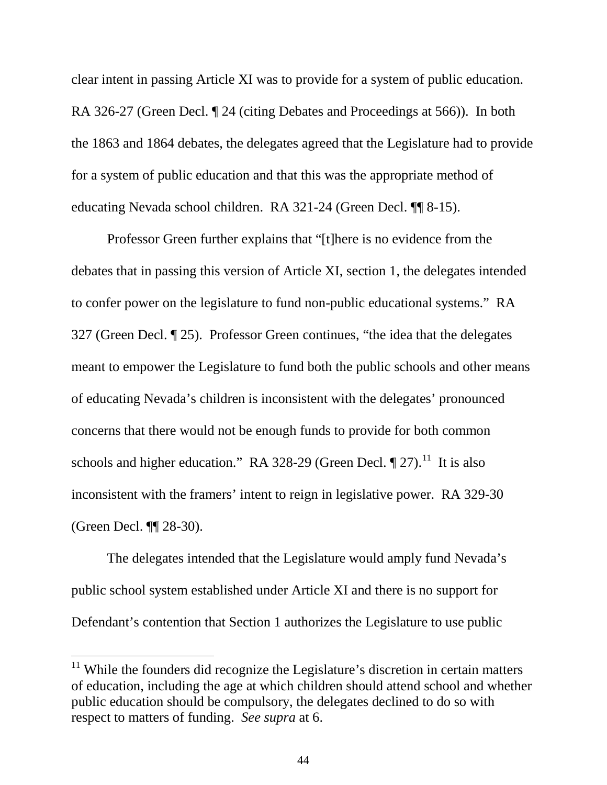clear intent in passing Article XI was to provide for a system of public education. RA 326-27 (Green Decl. ¶ 24 (citing Debates and Proceedings at 566)). In both the 1863 and 1864 debates, the delegates agreed that the Legislature had to provide for a system of public education and that this was the appropriate method of educating Nevada school children. RA 321-24 (Green Decl. ¶¶ 8-15).

Professor Green further explains that "[t]here is no evidence from the debates that in passing this version of Article XI, section 1, the delegates intended to confer power on the legislature to fund non-public educational systems." RA 327 (Green Decl. ¶ 25). Professor Green continues, "the idea that the delegates meant to empower the Legislature to fund both the public schools and other means of educating Nevada's children is inconsistent with the delegates' pronounced concerns that there would not be enough funds to provide for both common schools and higher education." RA 328-29 (Green Decl.  $\P$  27).<sup>[11](#page-48-1)</sup> It is also inconsistent with the framers' intent to reign in legislative power. RA 329-30 (Green Decl. ¶¶ 28-30).

<span id="page-50-0"></span>The delegates intended that the Legislature would amply fund Nevada's public school system established under Article XI and there is no support for Defendant's contention that Section 1 authorizes the Legislature to use public

<sup>&</sup>lt;sup>11</sup> While the founders did recognize the Legislature's discretion in certain matters of education, including the age at which children should attend school and whether public education should be compulsory, the delegates declined to do so with respect to matters of funding. *See supra* at 6.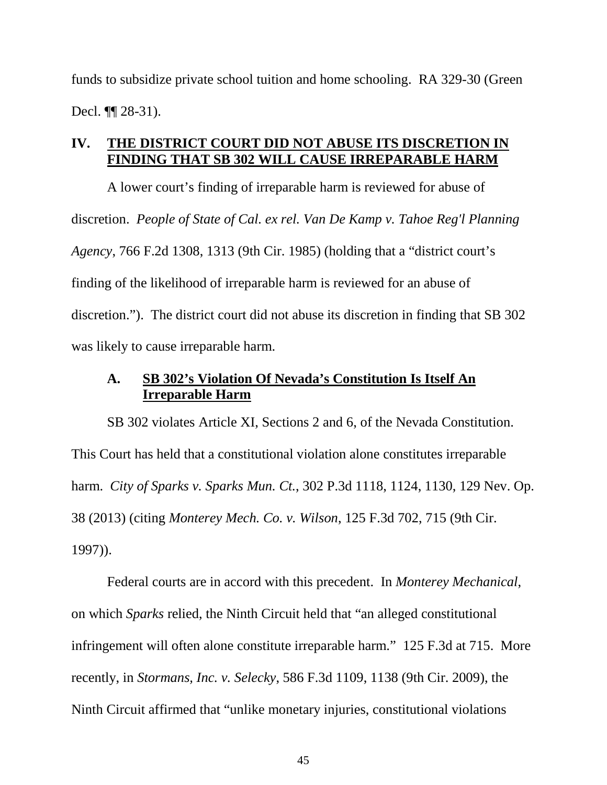funds to subsidize private school tuition and home schooling. RA 329-30 (Green Decl. ¶¶ 28-31).

### **IV. THE DISTRICT COURT DID NOT ABUSE ITS DISCRETION IN FINDING THAT SB 302 WILL CAUSE IRREPARABLE HARM**

A lower court's finding of irreparable harm is reviewed for abuse of discretion. *People of State of Cal. ex rel. Van De Kamp v. Tahoe Reg'l Planning Agency*, 766 F.2d 1308, 1313 (9th Cir. 1985) (holding that a "district court's finding of the likelihood of irreparable harm is reviewed for an abuse of discretion."). The district court did not abuse its discretion in finding that SB 302 was likely to cause irreparable harm.

### **A. SB 302's Violation Of Nevada's Constitution Is Itself An Irreparable Harm**

SB 302 violates Article XI, Sections 2 and 6, of the Nevada Constitution. This Court has held that a constitutional violation alone constitutes irreparable harm. *City of Sparks v. Sparks Mun. Ct.*, 302 P.3d 1118, 1124, 1130, 129 Nev. Op. 38 (2013) (citing *Monterey Mech. Co. v. Wilson*, 125 F.3d 702, 715 (9th Cir. 1997)).

Federal courts are in accord with this precedent. In *Monterey Mechanical*, on which *Sparks* relied, the Ninth Circuit held that "an alleged constitutional infringement will often alone constitute irreparable harm." 125 F.3d at 715. More recently, in *Stormans, Inc. v. Selecky*, 586 F.3d 1109, 1138 (9th Cir. 2009), the Ninth Circuit affirmed that "unlike monetary injuries, constitutional violations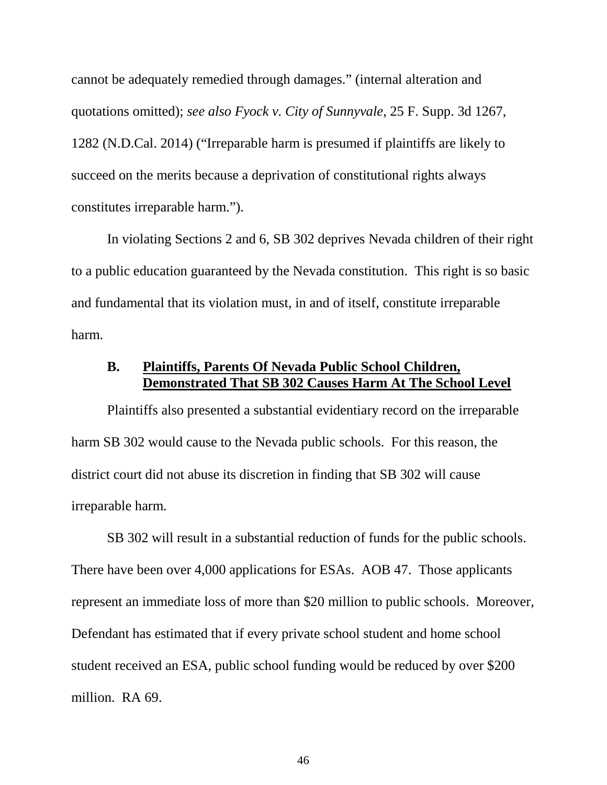cannot be adequately remedied through damages." (internal alteration and quotations omitted); *see also Fyock v. City of Sunnyvale*, 25 F. Supp. 3d 1267, 1282 (N.D.Cal. 2014) ("Irreparable harm is presumed if plaintiffs are likely to succeed on the merits because a deprivation of constitutional rights always constitutes irreparable harm.").

In violating Sections 2 and 6, SB 302 deprives Nevada children of their right to a public education guaranteed by the Nevada constitution. This right is so basic and fundamental that its violation must, in and of itself, constitute irreparable harm.

### **B. Plaintiffs, Parents Of Nevada Public School Children, Demonstrated That SB 302 Causes Harm At The School Level**

Plaintiffs also presented a substantial evidentiary record on the irreparable harm SB 302 would cause to the Nevada public schools. For this reason, the district court did not abuse its discretion in finding that SB 302 will cause irreparable harm.

SB 302 will result in a substantial reduction of funds for the public schools. There have been over 4,000 applications for ESAs. AOB 47. Those applicants represent an immediate loss of more than \$20 million to public schools. Moreover, Defendant has estimated that if every private school student and home school student received an ESA, public school funding would be reduced by over \$200 million. RA 69.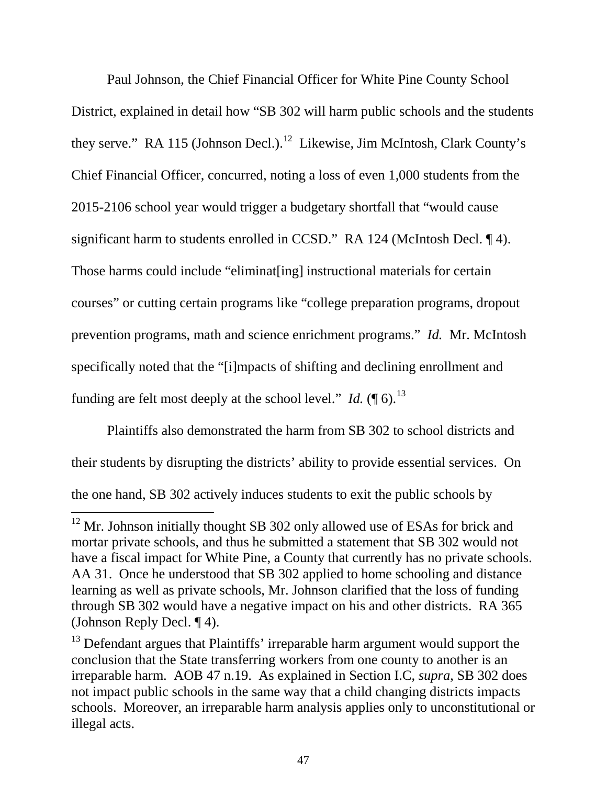Paul Johnson, the Chief Financial Officer for White Pine County School District, explained in detail how "SB 302 will harm public schools and the students they serve." RA 115 (Johnson Decl.).<sup>[12](#page-50-0)</sup> Likewise, Jim McIntosh, Clark County's Chief Financial Officer, concurred, noting a loss of even 1,000 students from the 2015-2106 school year would trigger a budgetary shortfall that "would cause significant harm to students enrolled in CCSD." RA 124 (McIntosh Decl. ¶ 4). Those harms could include "eliminat[ing] instructional materials for certain courses" or cutting certain programs like "college preparation programs, dropout prevention programs, math and science enrichment programs." *Id.* Mr. McIntosh specifically noted that the "[i]mpacts of shifting and declining enrollment and funding are felt most deeply at the school level." *Id.*  $(\P 6)$ .<sup>[13](#page-53-0)</sup>

Plaintiffs also demonstrated the harm from SB 302 to school districts and their students by disrupting the districts' ability to provide essential services. On the one hand, SB 302 actively induces students to exit the public schools by

<sup>&</sup>lt;sup>12</sup> Mr. Johnson initially thought SB 302 only allowed use of ESAs for brick and mortar private schools, and thus he submitted a statement that SB 302 would not have a fiscal impact for White Pine, a County that currently has no private schools. AA 31. Once he understood that SB 302 applied to home schooling and distance learning as well as private schools, Mr. Johnson clarified that the loss of funding through SB 302 would have a negative impact on his and other districts. RA 365 (Johnson Reply Decl. ¶ 4).

<span id="page-53-1"></span><span id="page-53-0"></span><sup>&</sup>lt;sup>13</sup> Defendant argues that Plaintiffs' irreparable harm argument would support the conclusion that the State transferring workers from one county to another is an irreparable harm. AOB 47 n.19. As explained in Section I.C, *supra*, SB 302 does not impact public schools in the same way that a child changing districts impacts schools. Moreover, an irreparable harm analysis applies only to unconstitutional or illegal acts.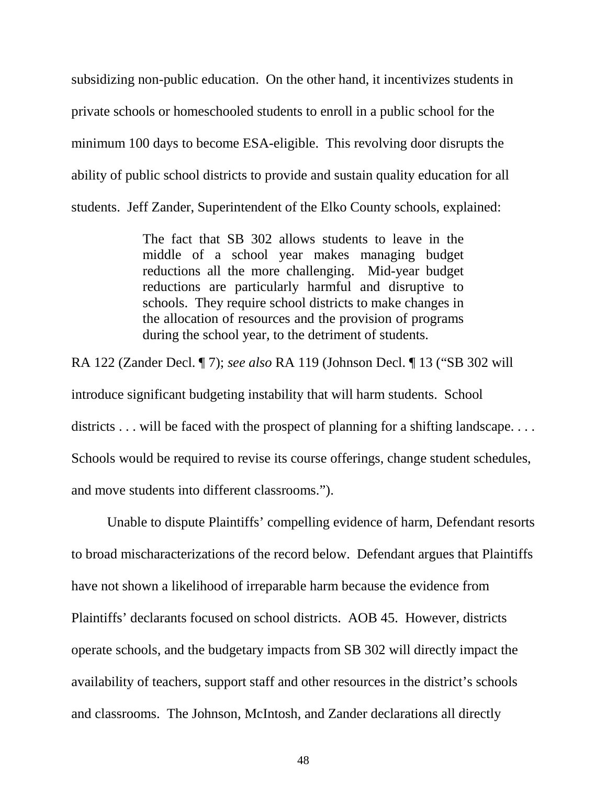subsidizing non-public education. On the other hand, it incentivizes students in private schools or homeschooled students to enroll in a public school for the minimum 100 days to become ESA-eligible. This revolving door disrupts the ability of public school districts to provide and sustain quality education for all students. Jeff Zander, Superintendent of the Elko County schools, explained:

> The fact that SB 302 allows students to leave in the middle of a school year makes managing budget reductions all the more challenging. Mid-year budget reductions are particularly harmful and disruptive to schools. They require school districts to make changes in the allocation of resources and the provision of programs during the school year, to the detriment of students.

RA 122 (Zander Decl. ¶ 7); *see also* RA 119 (Johnson Decl. ¶ 13 ("SB 302 will introduce significant budgeting instability that will harm students. School districts . . . will be faced with the prospect of planning for a shifting landscape. . . . Schools would be required to revise its course offerings, change student schedules, and move students into different classrooms.").

Unable to dispute Plaintiffs' compelling evidence of harm, Defendant resorts to broad mischaracterizations of the record below. Defendant argues that Plaintiffs have not shown a likelihood of irreparable harm because the evidence from Plaintiffs' declarants focused on school districts. AOB 45. However, districts operate schools, and the budgetary impacts from SB 302 will directly impact the availability of teachers, support staff and other resources in the district's schools and classrooms. The Johnson, McIntosh, and Zander declarations all directly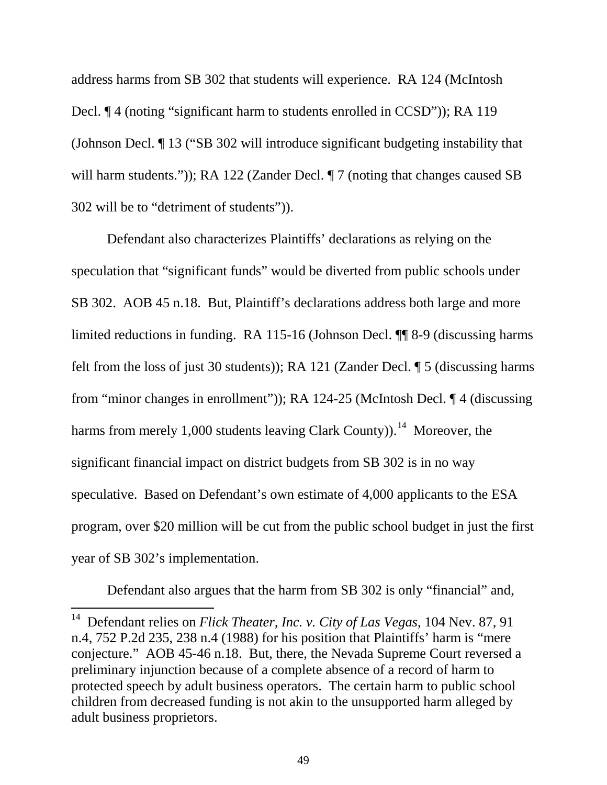address harms from SB 302 that students will experience. RA 124 (McIntosh Decl. ¶ 4 (noting "significant harm to students enrolled in CCSD")); RA 119 (Johnson Decl. ¶ 13 ("SB 302 will introduce significant budgeting instability that will harm students.")); RA 122 (Zander Decl. ¶ 7 (noting that changes caused SB 302 will be to "detriment of students")).

Defendant also characterizes Plaintiffs' declarations as relying on the speculation that "significant funds" would be diverted from public schools under SB 302. AOB 45 n.18. But, Plaintiff's declarations address both large and more limited reductions in funding. RA 115-16 (Johnson Decl. ¶¶ 8-9 (discussing harms felt from the loss of just 30 students)); RA 121 (Zander Decl. ¶ 5 (discussing harms from "minor changes in enrollment")); RA 124-25 (McIntosh Decl. ¶ 4 (discussing harms from merely 1,000 students leaving Clark County)).<sup>[14](#page-53-1)</sup> Moreover, the significant financial impact on district budgets from SB 302 is in no way speculative. Based on Defendant's own estimate of 4,000 applicants to the ESA program, over \$20 million will be cut from the public school budget in just the first year of SB 302's implementation.

<span id="page-55-0"></span>Defendant also argues that the harm from SB 302 is only "financial" and,

 <sup>14</sup> Defendant relies on *Flick Theater, Inc. v. City of Las Vegas*, 104 Nev. 87, 91 n.4, 752 P.2d 235, 238 n.4 (1988) for his position that Plaintiffs' harm is "mere conjecture." AOB 45-46 n.18. But, there, the Nevada Supreme Court reversed a preliminary injunction because of a complete absence of a record of harm to protected speech by adult business operators. The certain harm to public school children from decreased funding is not akin to the unsupported harm alleged by adult business proprietors.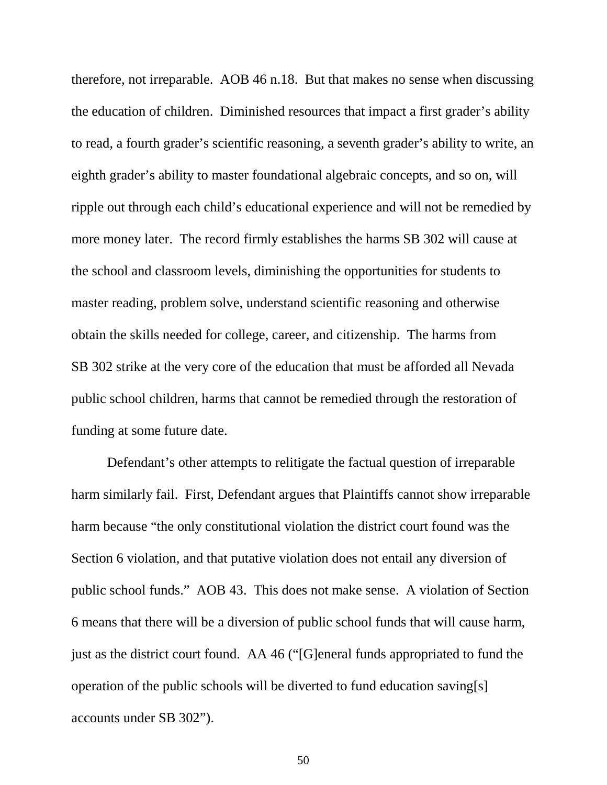therefore, not irreparable. AOB 46 n.18. But that makes no sense when discussing the education of children. Diminished resources that impact a first grader's ability to read, a fourth grader's scientific reasoning, a seventh grader's ability to write, an eighth grader's ability to master foundational algebraic concepts, and so on, will ripple out through each child's educational experience and will not be remedied by more money later. The record firmly establishes the harms SB 302 will cause at the school and classroom levels, diminishing the opportunities for students to master reading, problem solve, understand scientific reasoning and otherwise obtain the skills needed for college, career, and citizenship. The harms from SB 302 strike at the very core of the education that must be afforded all Nevada public school children, harms that cannot be remedied through the restoration of funding at some future date.

Defendant's other attempts to relitigate the factual question of irreparable harm similarly fail. First, Defendant argues that Plaintiffs cannot show irreparable harm because "the only constitutional violation the district court found was the Section 6 violation, and that putative violation does not entail any diversion of public school funds." AOB 43. This does not make sense. A violation of Section 6 means that there will be a diversion of public school funds that will cause harm, just as the district court found. AA 46 ("[G]eneral funds appropriated to fund the operation of the public schools will be diverted to fund education saving[s] accounts under SB 302").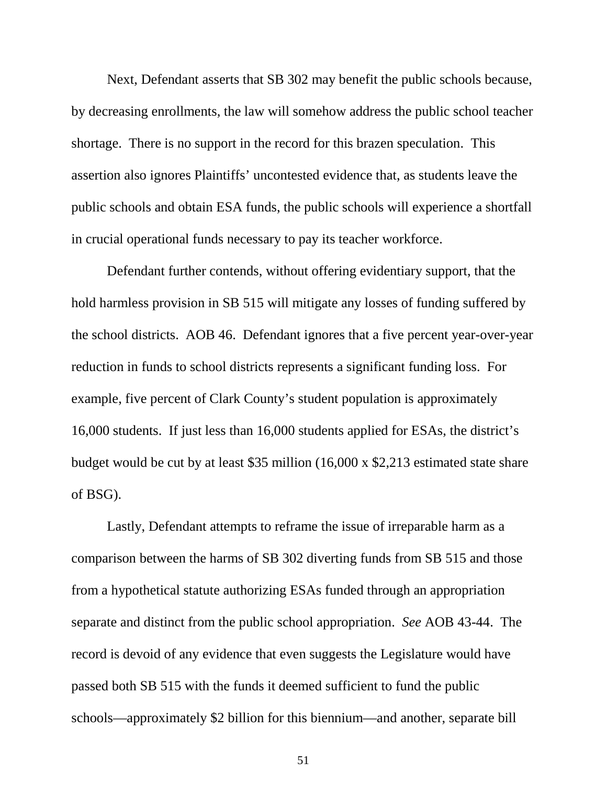Next, Defendant asserts that SB 302 may benefit the public schools because, by decreasing enrollments, the law will somehow address the public school teacher shortage. There is no support in the record for this brazen speculation. This assertion also ignores Plaintiffs' uncontested evidence that, as students leave the public schools and obtain ESA funds, the public schools will experience a shortfall in crucial operational funds necessary to pay its teacher workforce.

Defendant further contends, without offering evidentiary support, that the hold harmless provision in SB 515 will mitigate any losses of funding suffered by the school districts. AOB 46. Defendant ignores that a five percent year-over-year reduction in funds to school districts represents a significant funding loss. For example, five percent of Clark County's student population is approximately 16,000 students. If just less than 16,000 students applied for ESAs, the district's budget would be cut by at least \$35 million (16,000 x \$2,213 estimated state share of BSG).

Lastly, Defendant attempts to reframe the issue of irreparable harm as a comparison between the harms of SB 302 diverting funds from SB 515 and those from a hypothetical statute authorizing ESAs funded through an appropriation separate and distinct from the public school appropriation. *See* AOB 43-44. The record is devoid of any evidence that even suggests the Legislature would have passed both SB 515 with the funds it deemed sufficient to fund the public schools—approximately \$2 billion for this biennium—and another, separate bill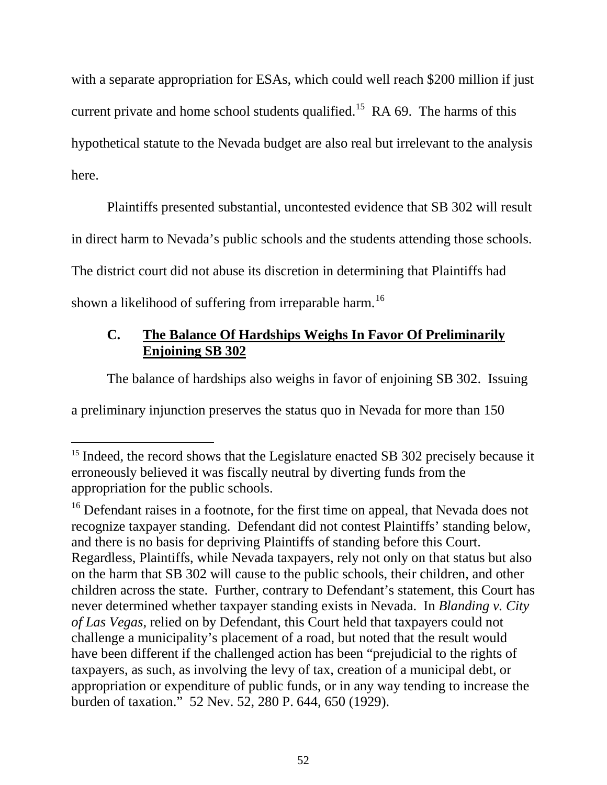with a separate appropriation for ESAs, which could well reach \$200 million if just current private and home school students qualified.<sup>[15](#page-55-0)</sup> RA 69. The harms of this hypothetical statute to the Nevada budget are also real but irrelevant to the analysis here.

Plaintiffs presented substantial, uncontested evidence that SB 302 will result in direct harm to Nevada's public schools and the students attending those schools. The district court did not abuse its discretion in determining that Plaintiffs had shown a likelihood of suffering from irreparable harm.<sup>[16](#page-58-0)</sup>

### **C. The Balance Of Hardships Weighs In Favor Of Preliminarily Enjoining SB 302**

The balance of hardships also weighs in favor of enjoining SB 302. Issuing

a preliminary injunction preserves the status quo in Nevada for more than 150

<sup>&</sup>lt;sup>15</sup> Indeed, the record shows that the Legislature enacted SB 302 precisely because it erroneously believed it was fiscally neutral by diverting funds from the appropriation for the public schools.

<span id="page-58-0"></span><sup>&</sup>lt;sup>16</sup> Defendant raises in a footnote, for the first time on appeal, that Nevada does not recognize taxpayer standing. Defendant did not contest Plaintiffs' standing below, and there is no basis for depriving Plaintiffs of standing before this Court. Regardless, Plaintiffs, while Nevada taxpayers, rely not only on that status but also on the harm that SB 302 will cause to the public schools, their children, and other children across the state. Further, contrary to Defendant's statement, this Court has never determined whether taxpayer standing exists in Nevada. In *Blanding v. City of Las Vegas*, relied on by Defendant, this Court held that taxpayers could not challenge a municipality's placement of a road, but noted that the result would have been different if the challenged action has been "prejudicial to the rights of taxpayers, as such, as involving the levy of tax, creation of a municipal debt, or appropriation or expenditure of public funds, or in any way tending to increase the burden of taxation." 52 Nev. 52, 280 P. 644, 650 (1929).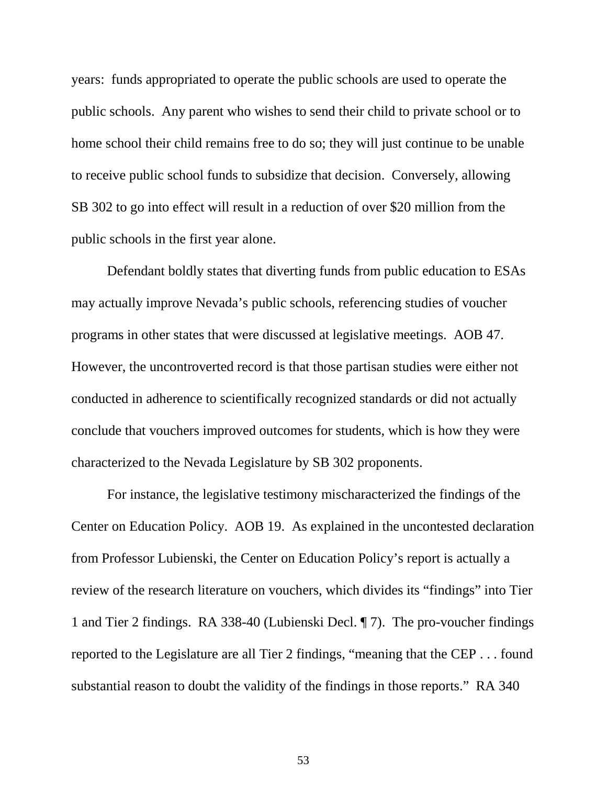years: funds appropriated to operate the public schools are used to operate the public schools. Any parent who wishes to send their child to private school or to home school their child remains free to do so; they will just continue to be unable to receive public school funds to subsidize that decision. Conversely, allowing SB 302 to go into effect will result in a reduction of over \$20 million from the public schools in the first year alone.

Defendant boldly states that diverting funds from public education to ESAs may actually improve Nevada's public schools, referencing studies of voucher programs in other states that were discussed at legislative meetings. AOB 47. However, the uncontroverted record is that those partisan studies were either not conducted in adherence to scientifically recognized standards or did not actually conclude that vouchers improved outcomes for students, which is how they were characterized to the Nevada Legislature by SB 302 proponents.

For instance, the legislative testimony mischaracterized the findings of the Center on Education Policy. AOB 19. As explained in the uncontested declaration from Professor Lubienski, the Center on Education Policy's report is actually a review of the research literature on vouchers, which divides its "findings" into Tier 1 and Tier 2 findings. RA 338-40 (Lubienski Decl. ¶ 7). The pro-voucher findings reported to the Legislature are all Tier 2 findings, "meaning that the CEP . . . found substantial reason to doubt the validity of the findings in those reports." RA 340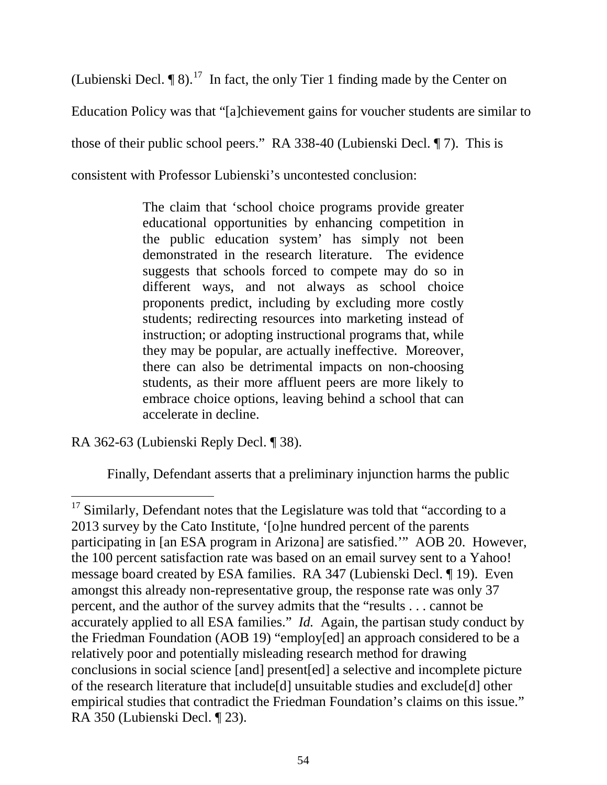(Lubienski Decl.  $\P$  8).<sup>[17](#page-58-0)</sup> In fact, the only Tier 1 finding made by the Center on Education Policy was that "[a]chievement gains for voucher students are similar to those of their public school peers." RA 338-40 (Lubienski Decl. ¶ 7). This is consistent with Professor Lubienski's uncontested conclusion:

> The claim that 'school choice programs provide greater educational opportunities by enhancing competition in the public education system' has simply not been demonstrated in the research literature. The evidence suggests that schools forced to compete may do so in different ways, and not always as school choice proponents predict, including by excluding more costly students; redirecting resources into marketing instead of instruction; or adopting instructional programs that, while they may be popular, are actually ineffective. Moreover, there can also be detrimental impacts on non-choosing students, as their more affluent peers are more likely to embrace choice options, leaving behind a school that can accelerate in decline.

RA 362-63 (Lubienski Reply Decl. ¶ 38).

Finally, Defendant asserts that a preliminary injunction harms the public

 $17$  Similarly, Defendant notes that the Legislature was told that "according to a 2013 survey by the Cato Institute, '[o]ne hundred percent of the parents participating in [an ESA program in Arizona] are satisfied.'" AOB 20. However, the 100 percent satisfaction rate was based on an email survey sent to a Yahoo! message board created by ESA families. RA 347 (Lubienski Decl. ¶ 19). Even amongst this already non-representative group, the response rate was only 37 percent, and the author of the survey admits that the "results . . . cannot be accurately applied to all ESA families." *Id.* Again, the partisan study conduct by the Friedman Foundation (AOB 19) "employ[ed] an approach considered to be a relatively poor and potentially misleading research method for drawing conclusions in social science [and] present[ed] a selective and incomplete picture of the research literature that include[d] unsuitable studies and exclude[d] other empirical studies that contradict the Friedman Foundation's claims on this issue." RA 350 (Lubienski Decl. ¶ 23).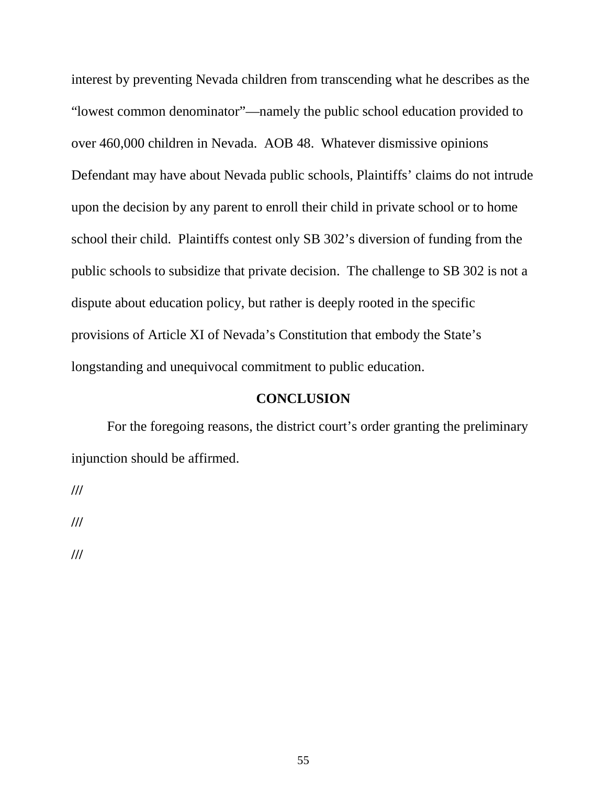interest by preventing Nevada children from transcending what he describes as the "lowest common denominator"—namely the public school education provided to over 460,000 children in Nevada. AOB 48. Whatever dismissive opinions Defendant may have about Nevada public schools, Plaintiffs' claims do not intrude upon the decision by any parent to enroll their child in private school or to home school their child. Plaintiffs contest only SB 302's diversion of funding from the public schools to subsidize that private decision. The challenge to SB 302 is not a dispute about education policy, but rather is deeply rooted in the specific provisions of Article XI of Nevada's Constitution that embody the State's longstanding and unequivocal commitment to public education.

#### **CONCLUSION**

For the foregoing reasons, the district court's order granting the preliminary injunction should be affirmed.

**///**

**///**

**///**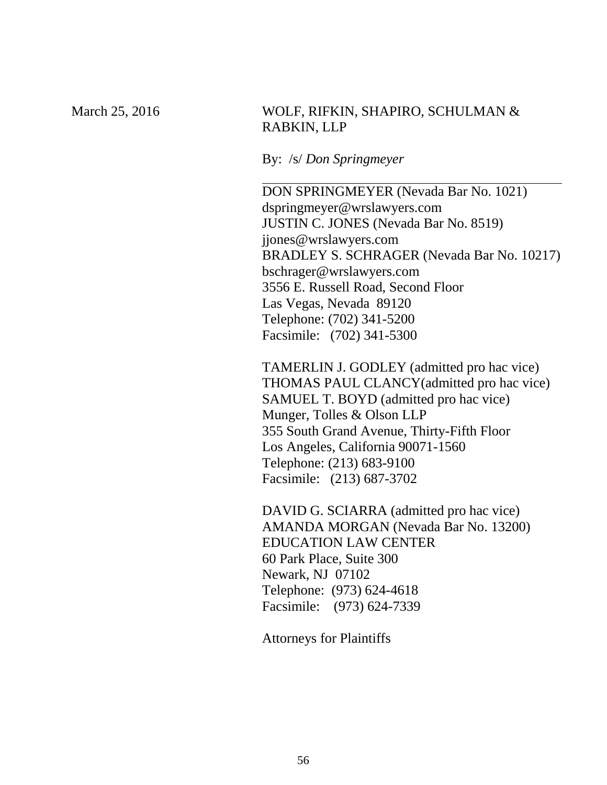### March 25, 2016 WOLF, RIFKIN, SHAPIRO, SCHULMAN & RABKIN, LLP

By: /s/ *Don Springmeyer*

DON SPRINGMEYER (Nevada Bar No. 1021) dspringmeyer@wrslawyers.com JUSTIN C. JONES (Nevada Bar No. 8519) jjones@wrslawyers.com BRADLEY S. SCHRAGER (Nevada Bar No. 10217) bschrager@wrslawyers.com 3556 E. Russell Road, Second Floor Las Vegas, Nevada 89120 Telephone: (702) 341-5200 Facsimile: (702) 341-5300

TAMERLIN J. GODLEY (admitted pro hac vice) THOMAS PAUL CLANCY(admitted pro hac vice) SAMUEL T. BOYD (admitted pro hac vice) Munger, Tolles & Olson LLP 355 South Grand Avenue, Thirty-Fifth Floor Los Angeles, California 90071-1560 Telephone: (213) 683-9100 Facsimile: (213) 687-3702

DAVID G. SCIARRA (admitted pro hac vice) AMANDA MORGAN (Nevada Bar No. 13200) EDUCATION LAW CENTER 60 Park Place, Suite 300 Newark, NJ 07102 Telephone: (973) 624-4618 Facsimile: (973) 624-7339

Attorneys for Plaintiffs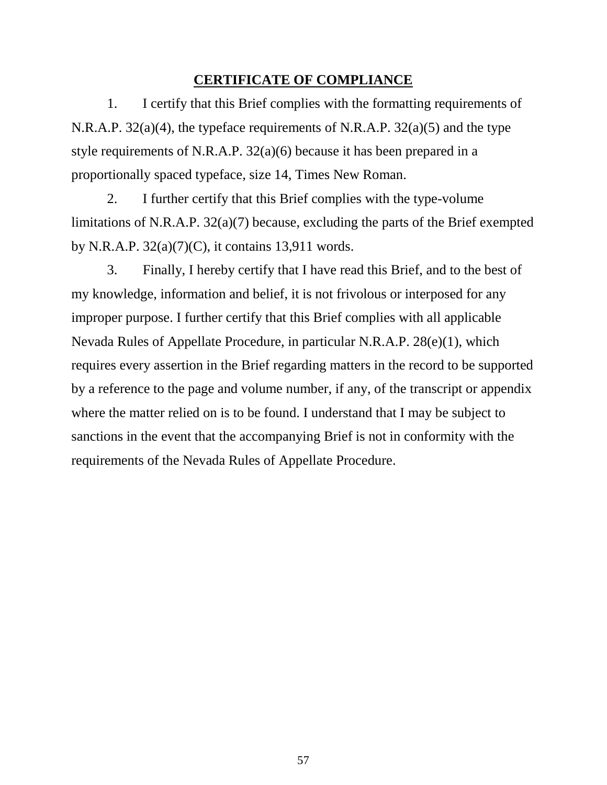### **CERTIFICATE OF COMPLIANCE**

1. I certify that this Brief complies with the formatting requirements of N.R.A.P. 32(a)(4), the typeface requirements of N.R.A.P. 32(a)(5) and the type style requirements of N.R.A.P. 32(a)(6) because it has been prepared in a proportionally spaced typeface, size 14, Times New Roman.

2. I further certify that this Brief complies with the type-volume limitations of N.R.A.P. 32(a)(7) because, excluding the parts of the Brief exempted by N.R.A.P. 32(a)(7)(C), it contains 13,911 words.

3. Finally, I hereby certify that I have read this Brief, and to the best of my knowledge, information and belief, it is not frivolous or interposed for any improper purpose. I further certify that this Brief complies with all applicable Nevada Rules of Appellate Procedure, in particular N.R.A.P. 28(e)(1), which requires every assertion in the Brief regarding matters in the record to be supported by a reference to the page and volume number, if any, of the transcript or appendix where the matter relied on is to be found. I understand that I may be subject to sanctions in the event that the accompanying Brief is not in conformity with the requirements of the Nevada Rules of Appellate Procedure.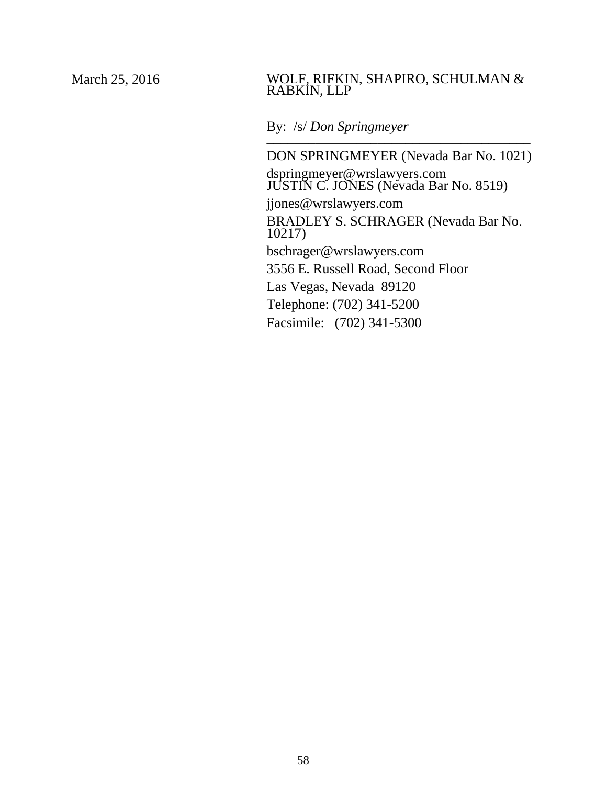#### March 25, 2016 WOLF, RIFKIN, SHAPIRO, SCHULMAN & RABKIN, LLP

### By: /s/ *Don Springmeyer*

DON SPRINGMEYER (Nevada Bar No. 1021) dspringmeyer@wrslawyers.com JUSTIN C. JONES (Nevada Bar No. 8519) jjones@wrslawyers.com BRADLEY S. SCHRAGER (Nevada Bar No. 10217) bschrager@wrslawyers.com 3556 E. Russell Road, Second Floor Las Vegas, Nevada 89120 Telephone: (702) 341-5200 Facsimile: (702) 341-5300